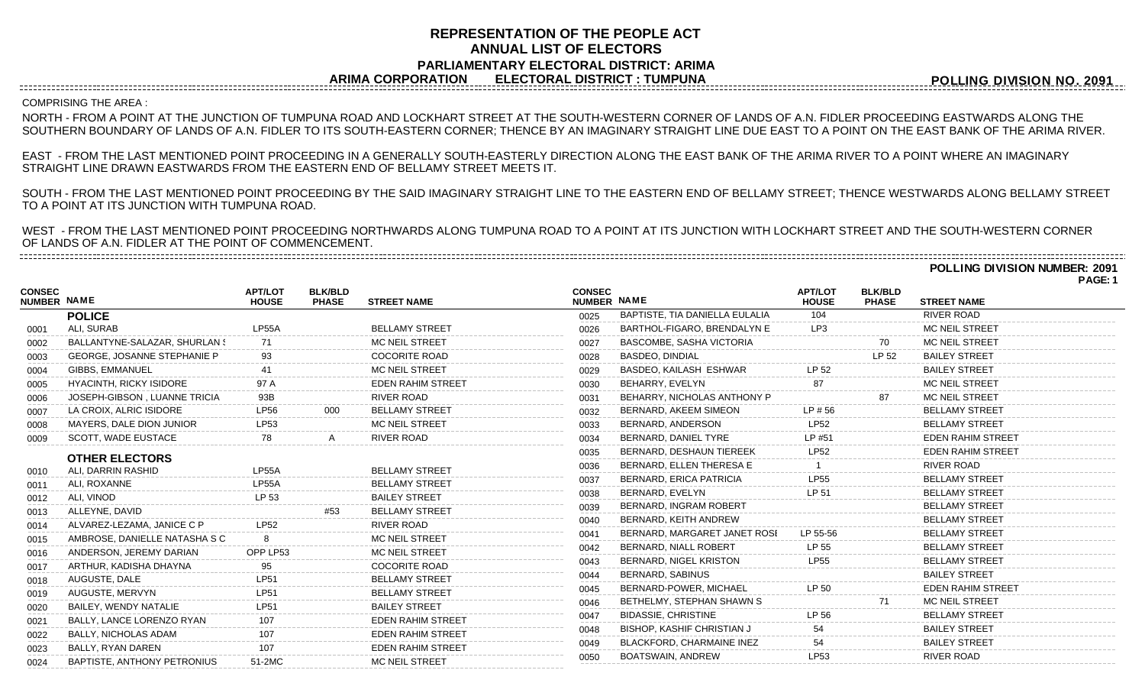## **REPRESENTATION OF THE PEOPLE ACT ANNUAL LIST OF ELECTORS PARLIAMENTARY ELECTORAL DISTRICT: ARIMA ARIMA CORPORATION ELECTORAL DISTRICT : TUMPUNA**

**POLLING DIVISION NO. 2091**

## COMPRISING THE AREA :

NORTH - FROM A POINT AT THE JUNCTION OF TUMPUNA ROAD AND LOCKHART STREET AT THE SOUTH-WESTERN CORNER OF LANDS OF A.N. FIDLER PROCEEDING EASTWARDS ALONG THE SOUTHERN BOUNDARY OF LANDS OF A.N. FIDLER TO ITS SOUTH-EASTERN CORNER; THENCE BY AN IMAGINARY STRAIGHT LINE DUE EAST TO A POINT ON THE EAST BANK OF THE ARIMA RIVER.

EAST - FROM THE LAST MENTIONED POINT PROCEEDING IN A GENERALLY SOUTH-EASTERLY DIRECTION ALONG THE EAST BANK OF THE ARIMA RIVER TO A POINT WHERE AN IMAGINARY STRAIGHT LINE DRAWN EASTWARDS FROM THE EASTERN END OF BELLAMY STREET MEETS IT.

SOUTH - FROM THE LAST MENTIONED POINT PROCEEDING BY THE SAID IMAGINARY STRAIGHT LINE TO THE EASTERN END OF BELLAMY STREET; THENCE WESTWARDS ALONG BELLAMY STREET TO A POINT AT ITS JUNCTION WITH TUMPUNA ROAD.

WEST - FROM THE LAST MENTIONED POINT PROCEEDING NORTHWARDS ALONG TUMPUNA ROAD TO A POINT AT ITS JUNCTION WITH LOCKHART STREET AND THE SOUTH-WESTERN CORNER OF LANDS OF A.N. FIDLER AT THE POINT OF COMMENCEMENT.

**POLLING DIVISION NUMBER: 2091**

**PAGE: 1**

|                                     |                                             |                                |                                |                          |                              |                                   |                                |                                |                          | . |
|-------------------------------------|---------------------------------------------|--------------------------------|--------------------------------|--------------------------|------------------------------|-----------------------------------|--------------------------------|--------------------------------|--------------------------|---|
| <b>CONSEC</b><br><b>NUMBER NAME</b> |                                             | <b>APT/LOT</b><br><b>HOUSE</b> | <b>BLK/BLD</b><br><b>PHASE</b> | <b>STREET NAME</b>       | <b>CONSEC</b><br>NUMBER NAME |                                   | <b>APT/LOT</b><br><b>HOUSE</b> | <b>BLK/BLD</b><br><b>PHASE</b> | <b>STREET NAME</b>       |   |
|                                     | <b>POLICE</b>                               |                                |                                |                          | 0025                         | BAPTISTE, TIA DANIELLA EULALIA    | 104                            |                                | <b>RIVER ROAD</b>        |   |
| 0001                                | ALI, SURAB                                  | LP55A                          |                                | <b>BELLAMY STREET</b>    | 0026                         | BARTHOL-FIGARO, BRENDALYN E       | LP3                            |                                | <b>MC NEIL STREET</b>    |   |
| 0002                                | BALLANTYNE-SALAZAR, SHURLAN S               | 71                             |                                | MC NEIL STREET           | 0027                         | BASCOMBE, SASHA VICTORIA          |                                | 70                             | MC NEIL STREET           |   |
| 0003                                | <b>GEORGE, JOSANNE STEPHANIE P</b>          | 93                             |                                | <b>COCORITE ROAD</b>     | 0028                         | <b>BASDEO, DINDIAL</b>            |                                | LP 52                          | <b>BAILEY STREET</b>     |   |
| 0004                                | GIBBS, EMMANUEL                             | 41                             |                                | <b>MC NEIL STREET</b>    | 0029                         | BASDEO, KAILASH ESHWAR            | LP 52                          |                                | <b>BAILEY STREET</b>     |   |
| 0005                                | <b>HYACINTH, RICKY ISIDORE</b>              | 97 A                           |                                | <b>EDEN RAHIM STREET</b> | 0030                         | BEHARRY, EVELYN                   | 87                             |                                | MC NEIL STREET           |   |
| 0006                                | JOSEPH-GIBSON, LUANNE TRICIA                | 93B                            |                                | RIVER ROAD               | 0031                         | BEHARRY, NICHOLAS ANTHONY P       |                                | 87                             | <b>MC NEIL STREET</b>    |   |
| 0007                                | LA CROIX, ALRIC ISIDORE                     | LP56                           | 000                            | <b>BELLAMY STREET</b>    | 0032                         | BERNARD, AKEEM SIMEON             | $LP$ #56                       |                                | <b>BELLAMY STREET</b>    |   |
| 0008                                | MAYERS, DALE DION JUNIOR                    | LP53                           |                                | <b>MC NEIL STREET</b>    | 0033                         | BERNARD, ANDERSON                 | <b>LP52</b>                    |                                | <b>BELLAMY STREET</b>    |   |
| 0009                                | SCOTT, WADE EUSTACE                         | 78                             |                                | RIVER ROAD               | 0034                         | BERNARD, DANIEL TYRE              | LP #51                         |                                | <b>EDEN RAHIM STREET</b> |   |
|                                     |                                             |                                |                                |                          | 0035                         | BERNARD, DESHAUN TIEREEK          | <b>LP52</b>                    |                                | <b>EDEN RAHIM STREET</b> |   |
| 0010                                | <b>OTHER ELECTORS</b><br>ALI, DARRIN RASHID | LP55A                          |                                | <b>BELLAMY STREET</b>    | 0036                         | BERNARD, ELLEN THERESA E          |                                |                                | RIVER ROAD               |   |
| 0011                                | ALI, ROXANNE                                | LP55A                          |                                | <b>BELLAMY STREET</b>    | 0037                         | BERNARD, ERICA PATRICIA           | <b>LP55</b>                    |                                | <b>BELLAMY STREET</b>    |   |
| 0012                                | ALI, VINOD                                  | LP 53                          |                                | <b>BAILEY STREET</b>     | 0038                         | BERNARD, EVELYN                   | LP 51                          |                                | <b>BELLAMY STREET</b>    |   |
| 0013                                | ALLEYNE, DAVID                              |                                | #53                            | <b>BELLAMY STREET</b>    | 0039                         | <b>BERNARD, INGRAM ROBERT</b>     |                                |                                | <b>BELLAMY STREET</b>    |   |
| 0014                                | ALVAREZ-LEZAMA, JANICE C P                  | <b>LP52</b>                    |                                | <b>RIVER ROAD</b>        | 0040                         | BERNARD, KEITH ANDREW             |                                |                                | <b>BELLAMY STREET</b>    |   |
| 0015                                | AMBROSE, DANIELLE NATASHA S C               |                                |                                | <b>MC NEIL STREET</b>    | 0041                         | BERNARD, MARGARET JANET ROSI      | IP 55-56                       |                                | <b>BELLAMY STREET</b>    |   |
| 0016                                | ANDERSON, JEREMY DARIAN                     | OPP LP53                       |                                | MC NEIL STREET           | 0042                         | BERNARD, NIALL ROBERT             | LP 55                          |                                | <b>BELLAMY STREET</b>    |   |
| 0017                                | ARTHUR, KADISHA DHAYNA                      | 95                             |                                | <b>COCORITE ROAD</b>     | 0043                         | BERNARD, NIGEL KRISTON            | <b>LP55</b>                    |                                | <b>BELLAMY STREET</b>    |   |
| 0018                                | AUGUSTE, DALE                               | <b>LP51</b>                    |                                | <b>BELLAMY STREET</b>    | 0044                         | BERNARD, SABINUS                  |                                |                                | <b>BAILEY STREET</b>     |   |
| 0019                                | AUGUSTE, MERVYN                             | <b>LP51</b>                    |                                | <b>BELLAMY STREET</b>    | 0045                         | BERNARD-POWER, MICHAEL            | LP 50                          |                                | <b>EDEN RAHIM STREET</b> |   |
| 0020                                | BAILEY, WENDY NATALIE                       | LP51                           |                                | <b>BAILEY STREET</b>     | 0046                         | BETHELMY, STEPHAN SHAWN S         |                                | 71                             | MC NEIL STREET           |   |
| 0021                                | BALLY, LANCE LORENZO RYAN                   | 107                            |                                | <b>EDEN RAHIM STREET</b> | 0047                         | <b>BIDASSIE, CHRISTINE</b>        | LP 56                          |                                | <b>BELLAMY STREET</b>    |   |
| 0022                                | <b>BALLY, NICHOLAS ADAM</b>                 | 107                            |                                | <b>EDEN RAHIM STREET</b> | 0048                         | <b>BISHOP, KASHIF CHRISTIAN J</b> |                                |                                | <b>BAILEY STREET</b>     |   |
| 0023                                | <b>BALLY, RYAN DAREN</b>                    |                                |                                | <b>EDEN RAHIM STREET</b> | 0049                         | BLACKFORD, CHARMAINE INEZ         | 54                             |                                | <b>BAILEY STREET</b>     |   |
| 0024                                | BAPTISTE, ANTHONY PETRONIUS                 | 51-2MC                         |                                | <b>MC NEIL STREET</b>    | 0050                         | BOATSWAIN, ANDREW                 | LP53                           |                                | RIVER ROAD               |   |
|                                     |                                             |                                |                                |                          |                              |                                   |                                |                                |                          |   |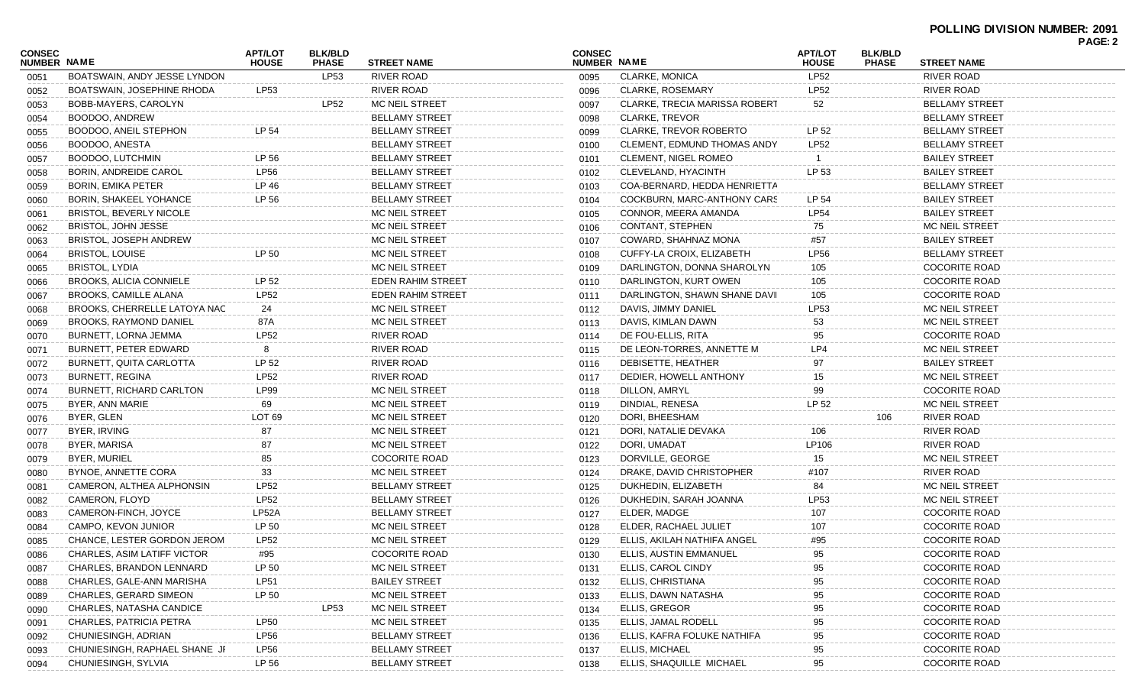## **POLLING DIVISION NUMBER: 2091 PAGE: 2**

| NUMBER NAME<br><b>NUMBER NAME</b><br><b>STREET NAME</b><br><b>HOUSE</b><br><b>PHASE</b><br><b>HOUSE</b><br><b>PHASE</b><br><b>STREET NAME</b><br><b>LP52</b><br><b>RIVER ROAD</b><br>BOATSWAIN, ANDY JESSE LYNDON<br>LP53<br>RIVER ROAD<br><b>CLARKE, MONICA</b><br>0095<br>0051<br>BOATSWAIN, JOSEPHINE RHODA<br><b>RIVER ROAD</b><br><b>CLARKE, ROSEMARY</b><br><b>LP52</b><br><b>RIVER ROAD</b><br>LP53<br>0096<br>0052<br><b>LP52</b><br>CLARKE, TRECIA MARISSA ROBERT<br>52<br><b>BELLAMY STREET</b><br>BOBB-MAYERS, CAROLYN<br>MC NEIL STREET<br>0097<br>0053<br>BOODOO, ANDREW<br><b>BELLAMY STREET</b><br><b>CLARKE, TREVOR</b><br><b>BELLAMY STREET</b><br>0098<br>0054<br>LP 54<br><b>BELLAMY STREET</b><br><b>CLARKE, TREVOR ROBERTO</b><br>LP 52<br><b>BELLAMY STREET</b><br>BOODOO, ANEIL STEPHON<br>0099<br>0055<br><b>BELLAMY STREET</b><br><b>LP52</b><br><b>BELLAMY STREET</b><br>BOODOO, ANESTA<br>CLEMENT, EDMUND THOMAS ANDY<br>0100<br>0056<br>LP 56<br><b>BAILEY STREET</b><br>BOODOO, LUTCHMIN<br><b>BELLAMY STREET</b><br><b>CLEMENT, NIGEL ROMEO</b><br>0101<br>0057<br><b>LP56</b><br><b>BELLAMY STREET</b><br>CLEVELAND, HYACINTH<br>LP 53<br><b>BAILEY STREET</b><br>BORIN, ANDREIDE CAROL<br>0102<br>0058<br>LP 46<br><b>BELLAMY STREET</b><br>COA-BERNARD, HEDDA HENRIETTA<br><b>BELLAMY STREET</b><br>BORIN, EMIKA PETER<br>0103<br>0059<br>LP 56<br><b>BELLAMY STREET</b><br>LP 54<br><b>BAILEY STREET</b><br>BORIN, SHAKEEL YOHANCE<br>COCKBURN, MARC-ANTHONY CARS<br>0104<br>0060<br>MC NEIL STREET<br><b>LP54</b><br><b>BAILEY STREET</b><br><b>BRISTOL, BEVERLY NICOLE</b><br>CONNOR, MEERA AMANDA<br>0105<br>0061<br>BRISTOL, JOHN JESSE<br><b>MC NEIL STREET</b><br>CONTANT, STEPHEN<br>MC NEIL STREET<br>75<br>0106<br>0062<br>BRISTOL, JOSEPH ANDREW<br>MC NEIL STREET<br>#57<br><b>BAILEY STREET</b><br>COWARD, SHAHNAZ MONA<br>0107<br>0063<br>LP 50<br><b>LP56</b><br><b>BRISTOL, LOUISE</b><br>MC NEIL STREET<br>CUFFY-LA CROIX, ELIZABETH<br><b>BELLAMY STREET</b><br>0108<br>0064<br><b>MC NEIL STREET</b><br><b>COCORITE ROAD</b><br>BRISTOL, LYDIA<br>DARLINGTON, DONNA SHAROLYN<br>105<br>0109<br>0065<br>BROOKS, ALICIA CONNIELE<br>LP 52<br><b>EDEN RAHIM STREET</b><br><b>COCORITE ROAD</b><br>DARLINGTON, KURT OWEN<br>105<br>0110<br>0066<br><b>BROOKS, CAMILLE ALANA</b><br><b>LP52</b><br><b>EDEN RAHIM STREET</b><br>105<br><b>COCORITE ROAD</b><br>DARLINGTON, SHAWN SHANE DAVII<br>0111<br>0067<br>LP53<br>MC NEIL STREET<br>BROOKS, CHERRELLE LATOYA NAC<br>24<br>MC NEIL STREET<br>DAVIS, JIMMY DANIEL<br>0112<br>0068<br><b>MC NEIL STREET</b><br>53<br>MC NEIL STREET<br>BROOKS, RAYMOND DANIEL<br>87A<br>DAVIS, KIMLAN DAWN<br>0113<br>0069<br><b>LP52</b><br><b>RIVER ROAD</b><br>DE FOU-ELLIS, RITA<br>95<br><b>COCORITE ROAD</b><br>BURNETT, LORNA JEMMA<br>0114<br>0070<br>8<br><b>RIVER ROAD</b><br>LP4<br>MC NEIL STREET<br>BURNETT, PETER EDWARD<br>DE LEON-TORRES, ANNETTE M<br>0115<br>0071<br>LP 52<br><b>RIVER ROAD</b><br>97<br><b>BAILEY STREET</b><br>BURNETT, QUITA CARLOTTA<br>DEBISETTE, HEATHER<br>0116<br>0072<br><b>LP52</b><br><b>BURNETT, REGINA</b><br><b>RIVER ROAD</b><br>DEDIER, HOWELL ANTHONY<br>15<br>MC NEIL STREET<br>0117<br>0073<br>99<br>BURNETT, RICHARD CARLTON<br>LP99<br>DILLON, AMRYL<br><b>COCORITE ROAD</b><br>MC NEIL STREET<br>0118<br>0074<br>69<br>LP 52<br>DINDIAL, RENESA<br>MC NEIL STREET<br>BYER, ANN MARIE<br>MC NEIL STREET<br>0119<br>0075<br>LOT <sub>69</sub><br><b>MC NEIL STREET</b><br>DORI, BHEESHAM<br>RIVER ROAD<br>BYER, GLEN<br>106<br>0120<br>0076<br>87<br>BYER, IRVING<br>MC NEIL STREET<br><b>RIVER ROAD</b><br>DORI, NATALIE DEVAKA<br>106<br>0121<br>0077<br>87<br>LP106<br>DORI, UMADAT<br><b>RIVER ROAD</b><br>BYER, MARISA<br>MC NEIL STREET<br>0122<br>0078<br>85<br><b>COCORITE ROAD</b><br>DORVILLE, GEORGE<br><b>MC NEIL STREET</b><br>BYER, MURIEL<br>15<br>0123<br>0079<br>33<br><b>MC NEIL STREET</b><br>DRAKE, DAVID CHRISTOPHER<br>#107<br><b>RIVER ROAD</b><br>BYNOE, ANNETTE CORA<br>0124<br>0080<br>CAMERON, ALTHEA ALPHONSIN<br><b>LP52</b><br><b>BELLAMY STREET</b><br>DUKHEDIN, ELIZABETH<br>MC NEIL STREET<br>84<br>0125<br>0081<br>CAMERON, FLOYD<br><b>LP52</b><br><b>BELLAMY STREET</b><br>DUKHEDIN, SARAH JOANNA<br>LP53<br>MC NEIL STREET<br>0126<br>0082<br>LP52A<br><b>BELLAMY STREET</b><br>ELDER, MADGE<br>107<br><b>COCORITE ROAD</b><br>CAMERON-FINCH, JOYCE<br>0127<br>0083<br>LP 50<br>MC NEIL STREET<br>ELDER, RACHAEL JULIET<br>107<br><b>COCORITE ROAD</b><br>CAMPO, KEVON JUNIOR<br>0128<br>0084<br>CHANCE, LESTER GORDON JEROM<br><b>LP52</b><br>MC NEIL STREET<br><b>COCORITE ROAD</b><br>ELLIS, AKILAH NATHIFA ANGEL<br>#95<br>0129<br>0085<br>CHARLES, ASIM LATIFF VICTOR<br>COCORITE ROAD<br>ELLIS, AUSTIN EMMANUEL<br>COCORITE ROAD<br>0086<br>#95<br>0130<br>95<br>LP 50<br>MC NEIL STREET<br>ELLIS, CAROL CINDY<br><b>COCORITE ROAD</b><br>CHARLES, BRANDON LENNARD<br>95<br>0087<br>0131<br>CHARLES, GALE-ANN MARISHA<br><b>LP51</b><br><b>BAILEY STREET</b><br>ELLIS, CHRISTIANA<br><b>COCORITE ROAD</b><br>0132<br>95<br>0088<br>LP 50<br>95<br>CHARLES, GERARD SIMEON<br>MC NEIL STREET<br>ELLIS, DAWN NATASHA<br><b>COCORITE ROAD</b><br>0089<br>0133 |               |                |                |               |                |                | PAGE: 2 |
|---------------------------------------------------------------------------------------------------------------------------------------------------------------------------------------------------------------------------------------------------------------------------------------------------------------------------------------------------------------------------------------------------------------------------------------------------------------------------------------------------------------------------------------------------------------------------------------------------------------------------------------------------------------------------------------------------------------------------------------------------------------------------------------------------------------------------------------------------------------------------------------------------------------------------------------------------------------------------------------------------------------------------------------------------------------------------------------------------------------------------------------------------------------------------------------------------------------------------------------------------------------------------------------------------------------------------------------------------------------------------------------------------------------------------------------------------------------------------------------------------------------------------------------------------------------------------------------------------------------------------------------------------------------------------------------------------------------------------------------------------------------------------------------------------------------------------------------------------------------------------------------------------------------------------------------------------------------------------------------------------------------------------------------------------------------------------------------------------------------------------------------------------------------------------------------------------------------------------------------------------------------------------------------------------------------------------------------------------------------------------------------------------------------------------------------------------------------------------------------------------------------------------------------------------------------------------------------------------------------------------------------------------------------------------------------------------------------------------------------------------------------------------------------------------------------------------------------------------------------------------------------------------------------------------------------------------------------------------------------------------------------------------------------------------------------------------------------------------------------------------------------------------------------------------------------------------------------------------------------------------------------------------------------------------------------------------------------------------------------------------------------------------------------------------------------------------------------------------------------------------------------------------------------------------------------------------------------------------------------------------------------------------------------------------------------------------------------------------------------------------------------------------------------------------------------------------------------------------------------------------------------------------------------------------------------------------------------------------------------------------------------------------------------------------------------------------------------------------------------------------------------------------------------------------------------------------------------------------------------------------------------------------------------------------------------------------------------------------------------------------------------------------------------------------------------------------------------------------------------------------------------------------------------------------------------------------------------------------------------------------------------------------------------------------------------------------------------------------------------------------------------------------------------------------------------------------------------------------------------------------------------------------------------------------------------------------------------------------------------------------------------------------------------------------------------------------------------------------------------------------------------------------------------------------------------------------------------------------------------------|---------------|----------------|----------------|---------------|----------------|----------------|---------|
|                                                                                                                                                                                                                                                                                                                                                                                                                                                                                                                                                                                                                                                                                                                                                                                                                                                                                                                                                                                                                                                                                                                                                                                                                                                                                                                                                                                                                                                                                                                                                                                                                                                                                                                                                                                                                                                                                                                                                                                                                                                                                                                                                                                                                                                                                                                                                                                                                                                                                                                                                                                                                                                                                                                                                                                                                                                                                                                                                                                                                                                                                                                                                                                                                                                                                                                                                                                                                                                                                                                                                                                                                                                                                                                                                                                                                                                                                                                                                                                                                                                                                                                                                                                                                                                                                                                                                                                                                                                                                                                                                                                                                                                                                                                                                                                                                                                                                                                                                                                                                                                                                                                                                                                                                                             | <b>CONSEC</b> | <b>APT/LOT</b> | <b>BLK/BLD</b> | <b>CONSEC</b> | <b>APT/LOT</b> | <b>BLK/BLD</b> |         |
|                                                                                                                                                                                                                                                                                                                                                                                                                                                                                                                                                                                                                                                                                                                                                                                                                                                                                                                                                                                                                                                                                                                                                                                                                                                                                                                                                                                                                                                                                                                                                                                                                                                                                                                                                                                                                                                                                                                                                                                                                                                                                                                                                                                                                                                                                                                                                                                                                                                                                                                                                                                                                                                                                                                                                                                                                                                                                                                                                                                                                                                                                                                                                                                                                                                                                                                                                                                                                                                                                                                                                                                                                                                                                                                                                                                                                                                                                                                                                                                                                                                                                                                                                                                                                                                                                                                                                                                                                                                                                                                                                                                                                                                                                                                                                                                                                                                                                                                                                                                                                                                                                                                                                                                                                                             |               |                |                |               |                |                |         |
|                                                                                                                                                                                                                                                                                                                                                                                                                                                                                                                                                                                                                                                                                                                                                                                                                                                                                                                                                                                                                                                                                                                                                                                                                                                                                                                                                                                                                                                                                                                                                                                                                                                                                                                                                                                                                                                                                                                                                                                                                                                                                                                                                                                                                                                                                                                                                                                                                                                                                                                                                                                                                                                                                                                                                                                                                                                                                                                                                                                                                                                                                                                                                                                                                                                                                                                                                                                                                                                                                                                                                                                                                                                                                                                                                                                                                                                                                                                                                                                                                                                                                                                                                                                                                                                                                                                                                                                                                                                                                                                                                                                                                                                                                                                                                                                                                                                                                                                                                                                                                                                                                                                                                                                                                                             |               |                |                |               |                |                |         |
|                                                                                                                                                                                                                                                                                                                                                                                                                                                                                                                                                                                                                                                                                                                                                                                                                                                                                                                                                                                                                                                                                                                                                                                                                                                                                                                                                                                                                                                                                                                                                                                                                                                                                                                                                                                                                                                                                                                                                                                                                                                                                                                                                                                                                                                                                                                                                                                                                                                                                                                                                                                                                                                                                                                                                                                                                                                                                                                                                                                                                                                                                                                                                                                                                                                                                                                                                                                                                                                                                                                                                                                                                                                                                                                                                                                                                                                                                                                                                                                                                                                                                                                                                                                                                                                                                                                                                                                                                                                                                                                                                                                                                                                                                                                                                                                                                                                                                                                                                                                                                                                                                                                                                                                                                                             |               |                |                |               |                |                |         |
|                                                                                                                                                                                                                                                                                                                                                                                                                                                                                                                                                                                                                                                                                                                                                                                                                                                                                                                                                                                                                                                                                                                                                                                                                                                                                                                                                                                                                                                                                                                                                                                                                                                                                                                                                                                                                                                                                                                                                                                                                                                                                                                                                                                                                                                                                                                                                                                                                                                                                                                                                                                                                                                                                                                                                                                                                                                                                                                                                                                                                                                                                                                                                                                                                                                                                                                                                                                                                                                                                                                                                                                                                                                                                                                                                                                                                                                                                                                                                                                                                                                                                                                                                                                                                                                                                                                                                                                                                                                                                                                                                                                                                                                                                                                                                                                                                                                                                                                                                                                                                                                                                                                                                                                                                                             |               |                |                |               |                |                |         |
|                                                                                                                                                                                                                                                                                                                                                                                                                                                                                                                                                                                                                                                                                                                                                                                                                                                                                                                                                                                                                                                                                                                                                                                                                                                                                                                                                                                                                                                                                                                                                                                                                                                                                                                                                                                                                                                                                                                                                                                                                                                                                                                                                                                                                                                                                                                                                                                                                                                                                                                                                                                                                                                                                                                                                                                                                                                                                                                                                                                                                                                                                                                                                                                                                                                                                                                                                                                                                                                                                                                                                                                                                                                                                                                                                                                                                                                                                                                                                                                                                                                                                                                                                                                                                                                                                                                                                                                                                                                                                                                                                                                                                                                                                                                                                                                                                                                                                                                                                                                                                                                                                                                                                                                                                                             |               |                |                |               |                |                |         |
|                                                                                                                                                                                                                                                                                                                                                                                                                                                                                                                                                                                                                                                                                                                                                                                                                                                                                                                                                                                                                                                                                                                                                                                                                                                                                                                                                                                                                                                                                                                                                                                                                                                                                                                                                                                                                                                                                                                                                                                                                                                                                                                                                                                                                                                                                                                                                                                                                                                                                                                                                                                                                                                                                                                                                                                                                                                                                                                                                                                                                                                                                                                                                                                                                                                                                                                                                                                                                                                                                                                                                                                                                                                                                                                                                                                                                                                                                                                                                                                                                                                                                                                                                                                                                                                                                                                                                                                                                                                                                                                                                                                                                                                                                                                                                                                                                                                                                                                                                                                                                                                                                                                                                                                                                                             |               |                |                |               |                |                |         |
|                                                                                                                                                                                                                                                                                                                                                                                                                                                                                                                                                                                                                                                                                                                                                                                                                                                                                                                                                                                                                                                                                                                                                                                                                                                                                                                                                                                                                                                                                                                                                                                                                                                                                                                                                                                                                                                                                                                                                                                                                                                                                                                                                                                                                                                                                                                                                                                                                                                                                                                                                                                                                                                                                                                                                                                                                                                                                                                                                                                                                                                                                                                                                                                                                                                                                                                                                                                                                                                                                                                                                                                                                                                                                                                                                                                                                                                                                                                                                                                                                                                                                                                                                                                                                                                                                                                                                                                                                                                                                                                                                                                                                                                                                                                                                                                                                                                                                                                                                                                                                                                                                                                                                                                                                                             |               |                |                |               |                |                |         |
|                                                                                                                                                                                                                                                                                                                                                                                                                                                                                                                                                                                                                                                                                                                                                                                                                                                                                                                                                                                                                                                                                                                                                                                                                                                                                                                                                                                                                                                                                                                                                                                                                                                                                                                                                                                                                                                                                                                                                                                                                                                                                                                                                                                                                                                                                                                                                                                                                                                                                                                                                                                                                                                                                                                                                                                                                                                                                                                                                                                                                                                                                                                                                                                                                                                                                                                                                                                                                                                                                                                                                                                                                                                                                                                                                                                                                                                                                                                                                                                                                                                                                                                                                                                                                                                                                                                                                                                                                                                                                                                                                                                                                                                                                                                                                                                                                                                                                                                                                                                                                                                                                                                                                                                                                                             |               |                |                |               |                |                |         |
|                                                                                                                                                                                                                                                                                                                                                                                                                                                                                                                                                                                                                                                                                                                                                                                                                                                                                                                                                                                                                                                                                                                                                                                                                                                                                                                                                                                                                                                                                                                                                                                                                                                                                                                                                                                                                                                                                                                                                                                                                                                                                                                                                                                                                                                                                                                                                                                                                                                                                                                                                                                                                                                                                                                                                                                                                                                                                                                                                                                                                                                                                                                                                                                                                                                                                                                                                                                                                                                                                                                                                                                                                                                                                                                                                                                                                                                                                                                                                                                                                                                                                                                                                                                                                                                                                                                                                                                                                                                                                                                                                                                                                                                                                                                                                                                                                                                                                                                                                                                                                                                                                                                                                                                                                                             |               |                |                |               |                |                |         |
|                                                                                                                                                                                                                                                                                                                                                                                                                                                                                                                                                                                                                                                                                                                                                                                                                                                                                                                                                                                                                                                                                                                                                                                                                                                                                                                                                                                                                                                                                                                                                                                                                                                                                                                                                                                                                                                                                                                                                                                                                                                                                                                                                                                                                                                                                                                                                                                                                                                                                                                                                                                                                                                                                                                                                                                                                                                                                                                                                                                                                                                                                                                                                                                                                                                                                                                                                                                                                                                                                                                                                                                                                                                                                                                                                                                                                                                                                                                                                                                                                                                                                                                                                                                                                                                                                                                                                                                                                                                                                                                                                                                                                                                                                                                                                                                                                                                                                                                                                                                                                                                                                                                                                                                                                                             |               |                |                |               |                |                |         |
|                                                                                                                                                                                                                                                                                                                                                                                                                                                                                                                                                                                                                                                                                                                                                                                                                                                                                                                                                                                                                                                                                                                                                                                                                                                                                                                                                                                                                                                                                                                                                                                                                                                                                                                                                                                                                                                                                                                                                                                                                                                                                                                                                                                                                                                                                                                                                                                                                                                                                                                                                                                                                                                                                                                                                                                                                                                                                                                                                                                                                                                                                                                                                                                                                                                                                                                                                                                                                                                                                                                                                                                                                                                                                                                                                                                                                                                                                                                                                                                                                                                                                                                                                                                                                                                                                                                                                                                                                                                                                                                                                                                                                                                                                                                                                                                                                                                                                                                                                                                                                                                                                                                                                                                                                                             |               |                |                |               |                |                |         |
|                                                                                                                                                                                                                                                                                                                                                                                                                                                                                                                                                                                                                                                                                                                                                                                                                                                                                                                                                                                                                                                                                                                                                                                                                                                                                                                                                                                                                                                                                                                                                                                                                                                                                                                                                                                                                                                                                                                                                                                                                                                                                                                                                                                                                                                                                                                                                                                                                                                                                                                                                                                                                                                                                                                                                                                                                                                                                                                                                                                                                                                                                                                                                                                                                                                                                                                                                                                                                                                                                                                                                                                                                                                                                                                                                                                                                                                                                                                                                                                                                                                                                                                                                                                                                                                                                                                                                                                                                                                                                                                                                                                                                                                                                                                                                                                                                                                                                                                                                                                                                                                                                                                                                                                                                                             |               |                |                |               |                |                |         |
|                                                                                                                                                                                                                                                                                                                                                                                                                                                                                                                                                                                                                                                                                                                                                                                                                                                                                                                                                                                                                                                                                                                                                                                                                                                                                                                                                                                                                                                                                                                                                                                                                                                                                                                                                                                                                                                                                                                                                                                                                                                                                                                                                                                                                                                                                                                                                                                                                                                                                                                                                                                                                                                                                                                                                                                                                                                                                                                                                                                                                                                                                                                                                                                                                                                                                                                                                                                                                                                                                                                                                                                                                                                                                                                                                                                                                                                                                                                                                                                                                                                                                                                                                                                                                                                                                                                                                                                                                                                                                                                                                                                                                                                                                                                                                                                                                                                                                                                                                                                                                                                                                                                                                                                                                                             |               |                |                |               |                |                |         |
|                                                                                                                                                                                                                                                                                                                                                                                                                                                                                                                                                                                                                                                                                                                                                                                                                                                                                                                                                                                                                                                                                                                                                                                                                                                                                                                                                                                                                                                                                                                                                                                                                                                                                                                                                                                                                                                                                                                                                                                                                                                                                                                                                                                                                                                                                                                                                                                                                                                                                                                                                                                                                                                                                                                                                                                                                                                                                                                                                                                                                                                                                                                                                                                                                                                                                                                                                                                                                                                                                                                                                                                                                                                                                                                                                                                                                                                                                                                                                                                                                                                                                                                                                                                                                                                                                                                                                                                                                                                                                                                                                                                                                                                                                                                                                                                                                                                                                                                                                                                                                                                                                                                                                                                                                                             |               |                |                |               |                |                |         |
|                                                                                                                                                                                                                                                                                                                                                                                                                                                                                                                                                                                                                                                                                                                                                                                                                                                                                                                                                                                                                                                                                                                                                                                                                                                                                                                                                                                                                                                                                                                                                                                                                                                                                                                                                                                                                                                                                                                                                                                                                                                                                                                                                                                                                                                                                                                                                                                                                                                                                                                                                                                                                                                                                                                                                                                                                                                                                                                                                                                                                                                                                                                                                                                                                                                                                                                                                                                                                                                                                                                                                                                                                                                                                                                                                                                                                                                                                                                                                                                                                                                                                                                                                                                                                                                                                                                                                                                                                                                                                                                                                                                                                                                                                                                                                                                                                                                                                                                                                                                                                                                                                                                                                                                                                                             |               |                |                |               |                |                |         |
|                                                                                                                                                                                                                                                                                                                                                                                                                                                                                                                                                                                                                                                                                                                                                                                                                                                                                                                                                                                                                                                                                                                                                                                                                                                                                                                                                                                                                                                                                                                                                                                                                                                                                                                                                                                                                                                                                                                                                                                                                                                                                                                                                                                                                                                                                                                                                                                                                                                                                                                                                                                                                                                                                                                                                                                                                                                                                                                                                                                                                                                                                                                                                                                                                                                                                                                                                                                                                                                                                                                                                                                                                                                                                                                                                                                                                                                                                                                                                                                                                                                                                                                                                                                                                                                                                                                                                                                                                                                                                                                                                                                                                                                                                                                                                                                                                                                                                                                                                                                                                                                                                                                                                                                                                                             |               |                |                |               |                |                |         |
|                                                                                                                                                                                                                                                                                                                                                                                                                                                                                                                                                                                                                                                                                                                                                                                                                                                                                                                                                                                                                                                                                                                                                                                                                                                                                                                                                                                                                                                                                                                                                                                                                                                                                                                                                                                                                                                                                                                                                                                                                                                                                                                                                                                                                                                                                                                                                                                                                                                                                                                                                                                                                                                                                                                                                                                                                                                                                                                                                                                                                                                                                                                                                                                                                                                                                                                                                                                                                                                                                                                                                                                                                                                                                                                                                                                                                                                                                                                                                                                                                                                                                                                                                                                                                                                                                                                                                                                                                                                                                                                                                                                                                                                                                                                                                                                                                                                                                                                                                                                                                                                                                                                                                                                                                                             |               |                |                |               |                |                |         |
|                                                                                                                                                                                                                                                                                                                                                                                                                                                                                                                                                                                                                                                                                                                                                                                                                                                                                                                                                                                                                                                                                                                                                                                                                                                                                                                                                                                                                                                                                                                                                                                                                                                                                                                                                                                                                                                                                                                                                                                                                                                                                                                                                                                                                                                                                                                                                                                                                                                                                                                                                                                                                                                                                                                                                                                                                                                                                                                                                                                                                                                                                                                                                                                                                                                                                                                                                                                                                                                                                                                                                                                                                                                                                                                                                                                                                                                                                                                                                                                                                                                                                                                                                                                                                                                                                                                                                                                                                                                                                                                                                                                                                                                                                                                                                                                                                                                                                                                                                                                                                                                                                                                                                                                                                                             |               |                |                |               |                |                |         |
|                                                                                                                                                                                                                                                                                                                                                                                                                                                                                                                                                                                                                                                                                                                                                                                                                                                                                                                                                                                                                                                                                                                                                                                                                                                                                                                                                                                                                                                                                                                                                                                                                                                                                                                                                                                                                                                                                                                                                                                                                                                                                                                                                                                                                                                                                                                                                                                                                                                                                                                                                                                                                                                                                                                                                                                                                                                                                                                                                                                                                                                                                                                                                                                                                                                                                                                                                                                                                                                                                                                                                                                                                                                                                                                                                                                                                                                                                                                                                                                                                                                                                                                                                                                                                                                                                                                                                                                                                                                                                                                                                                                                                                                                                                                                                                                                                                                                                                                                                                                                                                                                                                                                                                                                                                             |               |                |                |               |                |                |         |
|                                                                                                                                                                                                                                                                                                                                                                                                                                                                                                                                                                                                                                                                                                                                                                                                                                                                                                                                                                                                                                                                                                                                                                                                                                                                                                                                                                                                                                                                                                                                                                                                                                                                                                                                                                                                                                                                                                                                                                                                                                                                                                                                                                                                                                                                                                                                                                                                                                                                                                                                                                                                                                                                                                                                                                                                                                                                                                                                                                                                                                                                                                                                                                                                                                                                                                                                                                                                                                                                                                                                                                                                                                                                                                                                                                                                                                                                                                                                                                                                                                                                                                                                                                                                                                                                                                                                                                                                                                                                                                                                                                                                                                                                                                                                                                                                                                                                                                                                                                                                                                                                                                                                                                                                                                             |               |                |                |               |                |                |         |
|                                                                                                                                                                                                                                                                                                                                                                                                                                                                                                                                                                                                                                                                                                                                                                                                                                                                                                                                                                                                                                                                                                                                                                                                                                                                                                                                                                                                                                                                                                                                                                                                                                                                                                                                                                                                                                                                                                                                                                                                                                                                                                                                                                                                                                                                                                                                                                                                                                                                                                                                                                                                                                                                                                                                                                                                                                                                                                                                                                                                                                                                                                                                                                                                                                                                                                                                                                                                                                                                                                                                                                                                                                                                                                                                                                                                                                                                                                                                                                                                                                                                                                                                                                                                                                                                                                                                                                                                                                                                                                                                                                                                                                                                                                                                                                                                                                                                                                                                                                                                                                                                                                                                                                                                                                             |               |                |                |               |                |                |         |
|                                                                                                                                                                                                                                                                                                                                                                                                                                                                                                                                                                                                                                                                                                                                                                                                                                                                                                                                                                                                                                                                                                                                                                                                                                                                                                                                                                                                                                                                                                                                                                                                                                                                                                                                                                                                                                                                                                                                                                                                                                                                                                                                                                                                                                                                                                                                                                                                                                                                                                                                                                                                                                                                                                                                                                                                                                                                                                                                                                                                                                                                                                                                                                                                                                                                                                                                                                                                                                                                                                                                                                                                                                                                                                                                                                                                                                                                                                                                                                                                                                                                                                                                                                                                                                                                                                                                                                                                                                                                                                                                                                                                                                                                                                                                                                                                                                                                                                                                                                                                                                                                                                                                                                                                                                             |               |                |                |               |                |                |         |
|                                                                                                                                                                                                                                                                                                                                                                                                                                                                                                                                                                                                                                                                                                                                                                                                                                                                                                                                                                                                                                                                                                                                                                                                                                                                                                                                                                                                                                                                                                                                                                                                                                                                                                                                                                                                                                                                                                                                                                                                                                                                                                                                                                                                                                                                                                                                                                                                                                                                                                                                                                                                                                                                                                                                                                                                                                                                                                                                                                                                                                                                                                                                                                                                                                                                                                                                                                                                                                                                                                                                                                                                                                                                                                                                                                                                                                                                                                                                                                                                                                                                                                                                                                                                                                                                                                                                                                                                                                                                                                                                                                                                                                                                                                                                                                                                                                                                                                                                                                                                                                                                                                                                                                                                                                             |               |                |                |               |                |                |         |
|                                                                                                                                                                                                                                                                                                                                                                                                                                                                                                                                                                                                                                                                                                                                                                                                                                                                                                                                                                                                                                                                                                                                                                                                                                                                                                                                                                                                                                                                                                                                                                                                                                                                                                                                                                                                                                                                                                                                                                                                                                                                                                                                                                                                                                                                                                                                                                                                                                                                                                                                                                                                                                                                                                                                                                                                                                                                                                                                                                                                                                                                                                                                                                                                                                                                                                                                                                                                                                                                                                                                                                                                                                                                                                                                                                                                                                                                                                                                                                                                                                                                                                                                                                                                                                                                                                                                                                                                                                                                                                                                                                                                                                                                                                                                                                                                                                                                                                                                                                                                                                                                                                                                                                                                                                             |               |                |                |               |                |                |         |
|                                                                                                                                                                                                                                                                                                                                                                                                                                                                                                                                                                                                                                                                                                                                                                                                                                                                                                                                                                                                                                                                                                                                                                                                                                                                                                                                                                                                                                                                                                                                                                                                                                                                                                                                                                                                                                                                                                                                                                                                                                                                                                                                                                                                                                                                                                                                                                                                                                                                                                                                                                                                                                                                                                                                                                                                                                                                                                                                                                                                                                                                                                                                                                                                                                                                                                                                                                                                                                                                                                                                                                                                                                                                                                                                                                                                                                                                                                                                                                                                                                                                                                                                                                                                                                                                                                                                                                                                                                                                                                                                                                                                                                                                                                                                                                                                                                                                                                                                                                                                                                                                                                                                                                                                                                             |               |                |                |               |                |                |         |
|                                                                                                                                                                                                                                                                                                                                                                                                                                                                                                                                                                                                                                                                                                                                                                                                                                                                                                                                                                                                                                                                                                                                                                                                                                                                                                                                                                                                                                                                                                                                                                                                                                                                                                                                                                                                                                                                                                                                                                                                                                                                                                                                                                                                                                                                                                                                                                                                                                                                                                                                                                                                                                                                                                                                                                                                                                                                                                                                                                                                                                                                                                                                                                                                                                                                                                                                                                                                                                                                                                                                                                                                                                                                                                                                                                                                                                                                                                                                                                                                                                                                                                                                                                                                                                                                                                                                                                                                                                                                                                                                                                                                                                                                                                                                                                                                                                                                                                                                                                                                                                                                                                                                                                                                                                             |               |                |                |               |                |                |         |
|                                                                                                                                                                                                                                                                                                                                                                                                                                                                                                                                                                                                                                                                                                                                                                                                                                                                                                                                                                                                                                                                                                                                                                                                                                                                                                                                                                                                                                                                                                                                                                                                                                                                                                                                                                                                                                                                                                                                                                                                                                                                                                                                                                                                                                                                                                                                                                                                                                                                                                                                                                                                                                                                                                                                                                                                                                                                                                                                                                                                                                                                                                                                                                                                                                                                                                                                                                                                                                                                                                                                                                                                                                                                                                                                                                                                                                                                                                                                                                                                                                                                                                                                                                                                                                                                                                                                                                                                                                                                                                                                                                                                                                                                                                                                                                                                                                                                                                                                                                                                                                                                                                                                                                                                                                             |               |                |                |               |                |                |         |
|                                                                                                                                                                                                                                                                                                                                                                                                                                                                                                                                                                                                                                                                                                                                                                                                                                                                                                                                                                                                                                                                                                                                                                                                                                                                                                                                                                                                                                                                                                                                                                                                                                                                                                                                                                                                                                                                                                                                                                                                                                                                                                                                                                                                                                                                                                                                                                                                                                                                                                                                                                                                                                                                                                                                                                                                                                                                                                                                                                                                                                                                                                                                                                                                                                                                                                                                                                                                                                                                                                                                                                                                                                                                                                                                                                                                                                                                                                                                                                                                                                                                                                                                                                                                                                                                                                                                                                                                                                                                                                                                                                                                                                                                                                                                                                                                                                                                                                                                                                                                                                                                                                                                                                                                                                             |               |                |                |               |                |                |         |
|                                                                                                                                                                                                                                                                                                                                                                                                                                                                                                                                                                                                                                                                                                                                                                                                                                                                                                                                                                                                                                                                                                                                                                                                                                                                                                                                                                                                                                                                                                                                                                                                                                                                                                                                                                                                                                                                                                                                                                                                                                                                                                                                                                                                                                                                                                                                                                                                                                                                                                                                                                                                                                                                                                                                                                                                                                                                                                                                                                                                                                                                                                                                                                                                                                                                                                                                                                                                                                                                                                                                                                                                                                                                                                                                                                                                                                                                                                                                                                                                                                                                                                                                                                                                                                                                                                                                                                                                                                                                                                                                                                                                                                                                                                                                                                                                                                                                                                                                                                                                                                                                                                                                                                                                                                             |               |                |                |               |                |                |         |
|                                                                                                                                                                                                                                                                                                                                                                                                                                                                                                                                                                                                                                                                                                                                                                                                                                                                                                                                                                                                                                                                                                                                                                                                                                                                                                                                                                                                                                                                                                                                                                                                                                                                                                                                                                                                                                                                                                                                                                                                                                                                                                                                                                                                                                                                                                                                                                                                                                                                                                                                                                                                                                                                                                                                                                                                                                                                                                                                                                                                                                                                                                                                                                                                                                                                                                                                                                                                                                                                                                                                                                                                                                                                                                                                                                                                                                                                                                                                                                                                                                                                                                                                                                                                                                                                                                                                                                                                                                                                                                                                                                                                                                                                                                                                                                                                                                                                                                                                                                                                                                                                                                                                                                                                                                             |               |                |                |               |                |                |         |
|                                                                                                                                                                                                                                                                                                                                                                                                                                                                                                                                                                                                                                                                                                                                                                                                                                                                                                                                                                                                                                                                                                                                                                                                                                                                                                                                                                                                                                                                                                                                                                                                                                                                                                                                                                                                                                                                                                                                                                                                                                                                                                                                                                                                                                                                                                                                                                                                                                                                                                                                                                                                                                                                                                                                                                                                                                                                                                                                                                                                                                                                                                                                                                                                                                                                                                                                                                                                                                                                                                                                                                                                                                                                                                                                                                                                                                                                                                                                                                                                                                                                                                                                                                                                                                                                                                                                                                                                                                                                                                                                                                                                                                                                                                                                                                                                                                                                                                                                                                                                                                                                                                                                                                                                                                             |               |                |                |               |                |                |         |
|                                                                                                                                                                                                                                                                                                                                                                                                                                                                                                                                                                                                                                                                                                                                                                                                                                                                                                                                                                                                                                                                                                                                                                                                                                                                                                                                                                                                                                                                                                                                                                                                                                                                                                                                                                                                                                                                                                                                                                                                                                                                                                                                                                                                                                                                                                                                                                                                                                                                                                                                                                                                                                                                                                                                                                                                                                                                                                                                                                                                                                                                                                                                                                                                                                                                                                                                                                                                                                                                                                                                                                                                                                                                                                                                                                                                                                                                                                                                                                                                                                                                                                                                                                                                                                                                                                                                                                                                                                                                                                                                                                                                                                                                                                                                                                                                                                                                                                                                                                                                                                                                                                                                                                                                                                             |               |                |                |               |                |                |         |
|                                                                                                                                                                                                                                                                                                                                                                                                                                                                                                                                                                                                                                                                                                                                                                                                                                                                                                                                                                                                                                                                                                                                                                                                                                                                                                                                                                                                                                                                                                                                                                                                                                                                                                                                                                                                                                                                                                                                                                                                                                                                                                                                                                                                                                                                                                                                                                                                                                                                                                                                                                                                                                                                                                                                                                                                                                                                                                                                                                                                                                                                                                                                                                                                                                                                                                                                                                                                                                                                                                                                                                                                                                                                                                                                                                                                                                                                                                                                                                                                                                                                                                                                                                                                                                                                                                                                                                                                                                                                                                                                                                                                                                                                                                                                                                                                                                                                                                                                                                                                                                                                                                                                                                                                                                             |               |                |                |               |                |                |         |
|                                                                                                                                                                                                                                                                                                                                                                                                                                                                                                                                                                                                                                                                                                                                                                                                                                                                                                                                                                                                                                                                                                                                                                                                                                                                                                                                                                                                                                                                                                                                                                                                                                                                                                                                                                                                                                                                                                                                                                                                                                                                                                                                                                                                                                                                                                                                                                                                                                                                                                                                                                                                                                                                                                                                                                                                                                                                                                                                                                                                                                                                                                                                                                                                                                                                                                                                                                                                                                                                                                                                                                                                                                                                                                                                                                                                                                                                                                                                                                                                                                                                                                                                                                                                                                                                                                                                                                                                                                                                                                                                                                                                                                                                                                                                                                                                                                                                                                                                                                                                                                                                                                                                                                                                                                             |               |                |                |               |                |                |         |
|                                                                                                                                                                                                                                                                                                                                                                                                                                                                                                                                                                                                                                                                                                                                                                                                                                                                                                                                                                                                                                                                                                                                                                                                                                                                                                                                                                                                                                                                                                                                                                                                                                                                                                                                                                                                                                                                                                                                                                                                                                                                                                                                                                                                                                                                                                                                                                                                                                                                                                                                                                                                                                                                                                                                                                                                                                                                                                                                                                                                                                                                                                                                                                                                                                                                                                                                                                                                                                                                                                                                                                                                                                                                                                                                                                                                                                                                                                                                                                                                                                                                                                                                                                                                                                                                                                                                                                                                                                                                                                                                                                                                                                                                                                                                                                                                                                                                                                                                                                                                                                                                                                                                                                                                                                             |               |                |                |               |                |                |         |
|                                                                                                                                                                                                                                                                                                                                                                                                                                                                                                                                                                                                                                                                                                                                                                                                                                                                                                                                                                                                                                                                                                                                                                                                                                                                                                                                                                                                                                                                                                                                                                                                                                                                                                                                                                                                                                                                                                                                                                                                                                                                                                                                                                                                                                                                                                                                                                                                                                                                                                                                                                                                                                                                                                                                                                                                                                                                                                                                                                                                                                                                                                                                                                                                                                                                                                                                                                                                                                                                                                                                                                                                                                                                                                                                                                                                                                                                                                                                                                                                                                                                                                                                                                                                                                                                                                                                                                                                                                                                                                                                                                                                                                                                                                                                                                                                                                                                                                                                                                                                                                                                                                                                                                                                                                             |               |                |                |               |                |                |         |
|                                                                                                                                                                                                                                                                                                                                                                                                                                                                                                                                                                                                                                                                                                                                                                                                                                                                                                                                                                                                                                                                                                                                                                                                                                                                                                                                                                                                                                                                                                                                                                                                                                                                                                                                                                                                                                                                                                                                                                                                                                                                                                                                                                                                                                                                                                                                                                                                                                                                                                                                                                                                                                                                                                                                                                                                                                                                                                                                                                                                                                                                                                                                                                                                                                                                                                                                                                                                                                                                                                                                                                                                                                                                                                                                                                                                                                                                                                                                                                                                                                                                                                                                                                                                                                                                                                                                                                                                                                                                                                                                                                                                                                                                                                                                                                                                                                                                                                                                                                                                                                                                                                                                                                                                                                             |               |                |                |               |                |                |         |
|                                                                                                                                                                                                                                                                                                                                                                                                                                                                                                                                                                                                                                                                                                                                                                                                                                                                                                                                                                                                                                                                                                                                                                                                                                                                                                                                                                                                                                                                                                                                                                                                                                                                                                                                                                                                                                                                                                                                                                                                                                                                                                                                                                                                                                                                                                                                                                                                                                                                                                                                                                                                                                                                                                                                                                                                                                                                                                                                                                                                                                                                                                                                                                                                                                                                                                                                                                                                                                                                                                                                                                                                                                                                                                                                                                                                                                                                                                                                                                                                                                                                                                                                                                                                                                                                                                                                                                                                                                                                                                                                                                                                                                                                                                                                                                                                                                                                                                                                                                                                                                                                                                                                                                                                                                             |               |                |                |               |                |                |         |
|                                                                                                                                                                                                                                                                                                                                                                                                                                                                                                                                                                                                                                                                                                                                                                                                                                                                                                                                                                                                                                                                                                                                                                                                                                                                                                                                                                                                                                                                                                                                                                                                                                                                                                                                                                                                                                                                                                                                                                                                                                                                                                                                                                                                                                                                                                                                                                                                                                                                                                                                                                                                                                                                                                                                                                                                                                                                                                                                                                                                                                                                                                                                                                                                                                                                                                                                                                                                                                                                                                                                                                                                                                                                                                                                                                                                                                                                                                                                                                                                                                                                                                                                                                                                                                                                                                                                                                                                                                                                                                                                                                                                                                                                                                                                                                                                                                                                                                                                                                                                                                                                                                                                                                                                                                             |               |                |                |               |                |                |         |
| ELLIS, GREGOR<br>95<br><b>COCORITE ROAD</b><br>CHARLES, NATASHA CANDICE<br>LP53<br>MC NEIL STREET<br>0090<br>0134                                                                                                                                                                                                                                                                                                                                                                                                                                                                                                                                                                                                                                                                                                                                                                                                                                                                                                                                                                                                                                                                                                                                                                                                                                                                                                                                                                                                                                                                                                                                                                                                                                                                                                                                                                                                                                                                                                                                                                                                                                                                                                                                                                                                                                                                                                                                                                                                                                                                                                                                                                                                                                                                                                                                                                                                                                                                                                                                                                                                                                                                                                                                                                                                                                                                                                                                                                                                                                                                                                                                                                                                                                                                                                                                                                                                                                                                                                                                                                                                                                                                                                                                                                                                                                                                                                                                                                                                                                                                                                                                                                                                                                                                                                                                                                                                                                                                                                                                                                                                                                                                                                                           |               |                |                |               |                |                |         |
| CHARLES, PATRICIA PETRA<br><b>LP50</b><br>ELLIS, JAMAL RODELL<br><b>COCORITE ROAD</b><br>MC NEIL STREET<br>95<br>0091<br>0135                                                                                                                                                                                                                                                                                                                                                                                                                                                                                                                                                                                                                                                                                                                                                                                                                                                                                                                                                                                                                                                                                                                                                                                                                                                                                                                                                                                                                                                                                                                                                                                                                                                                                                                                                                                                                                                                                                                                                                                                                                                                                                                                                                                                                                                                                                                                                                                                                                                                                                                                                                                                                                                                                                                                                                                                                                                                                                                                                                                                                                                                                                                                                                                                                                                                                                                                                                                                                                                                                                                                                                                                                                                                                                                                                                                                                                                                                                                                                                                                                                                                                                                                                                                                                                                                                                                                                                                                                                                                                                                                                                                                                                                                                                                                                                                                                                                                                                                                                                                                                                                                                                               |               |                |                |               |                |                |         |
| CHUNIESINGH, ADRIAN<br>LP56<br>ELLIS, KAFRA FOLUKE NATHIFA<br><b>BELLAMY STREET</b><br>95<br><b>COCORITE ROAD</b><br>0092<br>0136                                                                                                                                                                                                                                                                                                                                                                                                                                                                                                                                                                                                                                                                                                                                                                                                                                                                                                                                                                                                                                                                                                                                                                                                                                                                                                                                                                                                                                                                                                                                                                                                                                                                                                                                                                                                                                                                                                                                                                                                                                                                                                                                                                                                                                                                                                                                                                                                                                                                                                                                                                                                                                                                                                                                                                                                                                                                                                                                                                                                                                                                                                                                                                                                                                                                                                                                                                                                                                                                                                                                                                                                                                                                                                                                                                                                                                                                                                                                                                                                                                                                                                                                                                                                                                                                                                                                                                                                                                                                                                                                                                                                                                                                                                                                                                                                                                                                                                                                                                                                                                                                                                           |               |                |                |               |                |                |         |
| CHUNIESINGH, RAPHAEL SHANE JF<br>LP56<br><b>BELLAMY STREET</b><br>ELLIS, MICHAEL<br>95<br><b>COCORITE ROAD</b><br>0093<br>0137                                                                                                                                                                                                                                                                                                                                                                                                                                                                                                                                                                                                                                                                                                                                                                                                                                                                                                                                                                                                                                                                                                                                                                                                                                                                                                                                                                                                                                                                                                                                                                                                                                                                                                                                                                                                                                                                                                                                                                                                                                                                                                                                                                                                                                                                                                                                                                                                                                                                                                                                                                                                                                                                                                                                                                                                                                                                                                                                                                                                                                                                                                                                                                                                                                                                                                                                                                                                                                                                                                                                                                                                                                                                                                                                                                                                                                                                                                                                                                                                                                                                                                                                                                                                                                                                                                                                                                                                                                                                                                                                                                                                                                                                                                                                                                                                                                                                                                                                                                                                                                                                                                              |               |                |                |               |                |                |         |
| CHUNIESINGH, SYLVIA<br>LP 56<br><b>BELLAMY STREET</b><br>ELLIS, SHAQUILLE MICHAEL<br><b>COCORITE ROAD</b><br>95<br>0138<br>0094                                                                                                                                                                                                                                                                                                                                                                                                                                                                                                                                                                                                                                                                                                                                                                                                                                                                                                                                                                                                                                                                                                                                                                                                                                                                                                                                                                                                                                                                                                                                                                                                                                                                                                                                                                                                                                                                                                                                                                                                                                                                                                                                                                                                                                                                                                                                                                                                                                                                                                                                                                                                                                                                                                                                                                                                                                                                                                                                                                                                                                                                                                                                                                                                                                                                                                                                                                                                                                                                                                                                                                                                                                                                                                                                                                                                                                                                                                                                                                                                                                                                                                                                                                                                                                                                                                                                                                                                                                                                                                                                                                                                                                                                                                                                                                                                                                                                                                                                                                                                                                                                                                             |               |                |                |               |                |                |         |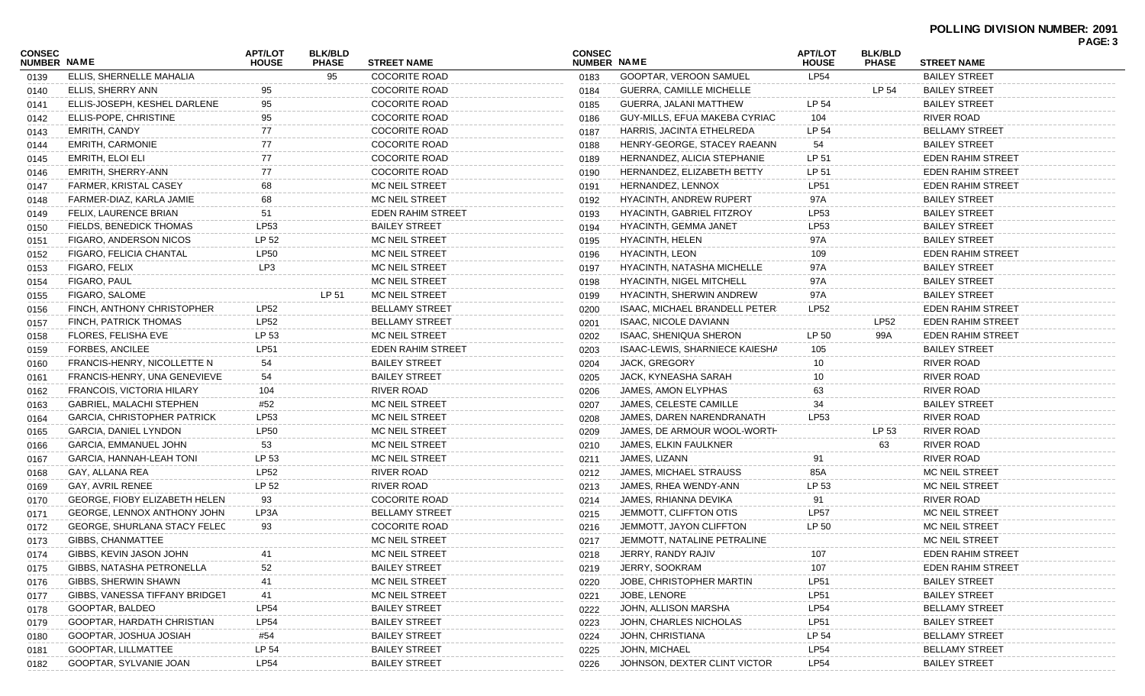| CONSEC<br><b>NUMBER NAME</b> |                                      | <b>APT/LOT</b><br><b>HOUSE</b> | <b>BLK/BLD</b><br><b>PHASE</b> | <b>STREET NAME</b>    | <b>CONSEC</b><br>NUMBER NAME |                                 | APT/LOT<br><b>HOUSE</b> | <b>BLK/BLD</b><br><b>PHASE</b> | <b>STREET NAME</b>       | PAGE: 3 |
|------------------------------|--------------------------------------|--------------------------------|--------------------------------|-----------------------|------------------------------|---------------------------------|-------------------------|--------------------------------|--------------------------|---------|
| 0139                         | ELLIS, SHERNELLE MAHALIA             |                                | 95                             | <b>COCORITE ROAD</b>  | 0183                         | GOOPTAR, VEROON SAMUEL          | <b>LP54</b>             |                                | <b>BAILEY STREET</b>     |         |
| 0140                         | ELLIS, SHERRY ANN                    | 95                             |                                | <b>COCORITE ROAD</b>  | 0184                         | GUERRA, CAMILLE MICHELLE        |                         | LP 54                          | <b>BAILEY STREET</b>     |         |
| 0141                         | ELLIS-JOSEPH, KESHEL DARLENE         | 95                             |                                | <b>COCORITE ROAD</b>  | 0185                         | GUERRA, JALANI MATTHEW          | LP 54                   |                                | <b>BAILEY STREET</b>     |         |
| 0142                         | ELLIS-POPE, CHRISTINE                | 95                             |                                | <b>COCORITE ROAD</b>  | 0186                         | GUY-MILLS, EFUA MAKEBA CYRIAC   | 104                     |                                | <b>RIVER ROAD</b>        |         |
| 0143                         | EMRITH, CANDY                        | 77                             |                                | <b>COCORITE ROAD</b>  | 0187                         | HARRIS, JACINTA ETHELREDA       | LP 54                   |                                | <b>BELLAMY STREET</b>    |         |
| 0144                         | EMRITH, CARMONIE                     | 77                             |                                | <b>COCORITE ROAD</b>  | 0188                         | HENRY-GEORGE, STACEY RAEANN     | 54                      |                                | <b>BAILEY STREET</b>     |         |
| 0145                         | EMRITH, ELOI ELI                     | 77                             |                                | <b>COCORITE ROAD</b>  | 0189                         | HERNANDEZ, ALICIA STEPHANIE     | LP 51                   |                                | EDEN RAHIM STREET        |         |
| 0146                         | EMRITH, SHERRY-ANN                   | 77                             |                                | <b>COCORITE ROAD</b>  | 0190                         | HERNANDEZ, ELIZABETH BETTY      | LP 51                   |                                | EDEN RAHIM STREET        |         |
| 0147                         | FARMER, KRISTAL CASEY                | 68                             |                                | MC NEIL STREET        | 0191                         | HERNANDEZ, LENNOX               | <b>LP51</b>             |                                | EDEN RAHIM STREET        |         |
| 0148                         | FARMER-DIAZ, KARLA JAMIE             | 68                             |                                | MC NEIL STREET        | 0192                         | <b>HYACINTH, ANDREW RUPERT</b>  | 97A                     |                                | <b>BAILEY STREET</b>     |         |
| 0149                         | FELIX, LAURENCE BRIAN                | 51                             |                                | EDEN RAHIM STREET     | 0193                         | HYACINTH, GABRIEL FITZROY       | LP53                    |                                | <b>BAILEY STREET</b>     |         |
| 0150                         | FIELDS, BENEDICK THOMAS              | LP53                           |                                | <b>BAILEY STREET</b>  | 0194                         | HYACINTH, GEMMA JANET           | LP53                    |                                | <b>BAILEY STREET</b>     |         |
| 0151                         | FIGARO, ANDERSON NICOS               | LP 52                          |                                | MC NEIL STREET        | 0195                         | <b>HYACINTH, HELEN</b>          | 97A                     |                                | <b>BAILEY STREET</b>     |         |
| 0152                         | FIGARO, FELICIA CHANTAL              | <b>LP50</b>                    |                                | MC NEIL STREET        | 0196                         | <b>HYACINTH, LEON</b>           | 109                     |                                | EDEN RAHIM STREET        |         |
| 0153                         | FIGARO, FELIX                        | LP3                            |                                | MC NEIL STREET        | 0197                         | HYACINTH, NATASHA MICHELLE      | 97A                     |                                | <b>BAILEY STREET</b>     |         |
| 0154                         | FIGARO, PAUL                         |                                |                                | MC NEIL STREET        | 0198                         | <b>HYACINTH, NIGEL MITCHELL</b> | 97A                     |                                | <b>BAILEY STREET</b>     |         |
| 0155                         | FIGARO, SALOME                       |                                | LP 51                          | MC NEIL STREET        | 0199                         | HYACINTH, SHERWIN ANDREW        | 97A                     |                                | <b>BAILEY STREET</b>     |         |
| 0156                         | FINCH, ANTHONY CHRISTOPHER           | <b>LP52</b>                    |                                | <b>BELLAMY STREET</b> | 0200                         | ISAAC, MICHAEL BRANDELL PETER:  | <b>LP52</b>             |                                | <b>EDEN RAHIM STREET</b> |         |
| 0157                         | FINCH, PATRICK THOMAS                | <b>LP52</b>                    |                                | <b>BELLAMY STREET</b> | 0201                         | ISAAC, NICOLE DAVIANN           |                         | LP52                           | <b>EDEN RAHIM STREET</b> |         |
| 0158                         | FLORES, FELISHA EVE                  | LP 53                          |                                | MC NEIL STREET        | 0202                         | <b>ISAAC, SHENIQUA SHERON</b>   | LP 50                   | 99A                            | EDEN RAHIM STREET        |         |
| 0159                         | <b>FORBES, ANCILEE</b>               | <b>LP51</b>                    |                                | EDEN RAHIM STREET     | 0203                         | ISAAC-LEWIS, SHARNIECE KAIESHA  | 105                     |                                | <b>BAILEY STREET</b>     |         |
| 0160                         | FRANCIS-HENRY, NICOLLETTE N          | 54                             |                                | <b>BAILEY STREET</b>  | 0204                         | <b>JACK, GREGORY</b>            | 10                      |                                | <b>RIVER ROAD</b>        |         |
| 0161                         | FRANCIS-HENRY, UNA GENEVIEVE         | 54                             |                                | <b>BAILEY STREET</b>  | 0205                         | JACK, KYNEASHA SARAH            | 10                      |                                | <b>RIVER ROAD</b>        |         |
| 0162                         | FRANCOIS, VICTORIA HILARY            | 104                            |                                | RIVER ROAD            | 0206                         | JAMES, AMON ELYPHAS             | 63                      |                                | RIVER ROAD               |         |
| 0163                         | GABRIEL, MALACHI STEPHEN             | #52                            |                                | MC NEIL STREET        | 0207                         | JAMES, CELESTE CAMILLE          | 34                      |                                | <b>BAILEY STREET</b>     |         |
| 0164                         | GARCIA, CHRISTOPHER PATRICK          | LP53                           |                                | MC NEIL STREET        | 0208                         | JAMES, DAREN NARENDRANATH       | LP53                    |                                | <b>RIVER ROAD</b>        |         |
| 0165                         | GARCIA, DANIEL LYNDON                | <b>LP50</b>                    |                                | MC NEIL STREET        | 0209                         | JAMES, DE ARMOUR WOOL-WORTH     |                         | LP 53                          | <b>RIVER ROAD</b>        |         |
| 0166                         | GARCIA, EMMANUEL JOHN                | 53                             |                                | MC NEIL STREET        | 0210                         | JAMES, ELKIN FAULKNER           |                         | 63                             | <b>RIVER ROAD</b>        |         |
| 0167                         | GARCIA, HANNAH-LEAH TONI             | LP 53                          |                                | MC NEIL STREET        | 0211                         | JAMES, LIZANN                   | 91                      |                                | <b>RIVER ROAD</b>        |         |
| 0168                         | GAY, ALLANA REA                      | <b>LP52</b>                    |                                | RIVER ROAD            | 0212                         | JAMES, MICHAEL STRAUSS          | 85A                     |                                | MC NEIL STREET           |         |
| 0169                         | GAY, AVRIL RENEE                     | LP 52                          |                                | RIVER ROAD            | 0213                         | JAMES, RHEA WENDY-ANN           | LP 53                   |                                | MC NEIL STREET           |         |
| 0170                         | <b>GEORGE, FIOBY ELIZABETH HELEN</b> | 93                             |                                | <b>COCORITE ROAD</b>  | 0214                         | JAMES, RHIANNA DEVIKA           | 91                      |                                | <b>RIVER ROAD</b>        |         |
| 0171                         | GEORGE, LENNOX ANTHONY JOHN          | LP3A                           |                                | <b>BELLAMY STREET</b> | 0215                         | JEMMOTT, CLIFFTON OTIS          | <b>LP57</b>             |                                | <b>MC NEIL STREET</b>    |         |
| 0172                         | <b>GEORGE, SHURLANA STACY FELEC</b>  | 93                             |                                | <b>COCORITE ROAD</b>  | 0216                         | JEMMOTT, JAYON CLIFFTON         | LP 50                   |                                | MC NEIL STREET           |         |
| 0173                         | GIBBS, CHANMATTEE                    |                                |                                | MC NEIL STREET        | 0217                         | JEMMOTT, NATALINE PETRALINE     |                         |                                | MC NEIL STREET           |         |
| 0174                         | GIBBS, KEVIN JASON JOHN              | 41                             |                                | MC NEIL STREET        | 0218                         | JERRY, RANDY RAJIV              | 107                     |                                | <b>EDEN RAHIM STREET</b> |         |
| 0175                         | GIBBS, NATASHA PETRONELLA            | 52                             |                                | <b>BAILEY STREET</b>  | 0219                         | JERRY, SOOKRAM                  | 107                     |                                | <b>EDEN RAHIM STREET</b> |         |
| 0176                         | GIBBS, SHERWIN SHAWN                 | 41                             |                                | MC NEIL STREET        | 0220                         | JOBE, CHRISTOPHER MARTIN        | <b>LP51</b>             |                                | <b>BAILEY STREET</b>     |         |
| 0177                         | GIBBS, VANESSA TIFFANY BRIDGET       | 41                             |                                | MC NEIL STREET        | 0221                         | JOBE, LENORE                    | <b>LP51</b>             |                                | <b>BAILEY STREET</b>     |         |
| 0178                         | GOOPTAR, BALDEO                      | LP54                           |                                | <b>BAILEY STREET</b>  | 0222                         | JOHN, ALLISON MARSHA            | <b>LP54</b>             |                                | <b>BELLAMY STREET</b>    |         |
| 0179                         | GOOPTAR, HARDATH CHRISTIAN           | LP54                           |                                | <b>BAILEY STREET</b>  | 0223                         | JOHN, CHARLES NICHOLAS          | <b>LP51</b>             |                                | <b>BAILEY STREET</b>     |         |
| 0180                         | GOOPTAR, JOSHUA JOSIAH               | #54                            |                                | <b>BAILEY STREET</b>  | 0224                         | JOHN, CHRISTIANA                | LP 54                   |                                | <b>BELLAMY STREET</b>    |         |
| 0181                         | GOOPTAR, LILLMATTEE                  | LP 54                          |                                | <b>BAILEY STREET</b>  | 0225                         | JOHN, MICHAEL                   | LP54                    |                                | <b>BELLAMY STREET</b>    |         |
| 0182                         | GOOPTAR, SYLVANIE JOAN               | <b>LP54</b>                    |                                | <b>BAILEY STREET</b>  | 0226                         | JOHNSON, DEXTER CLINT VICTOR    | LP54                    |                                | <b>BAILEY STREET</b>     |         |
|                              |                                      |                                |                                |                       |                              |                                 |                         |                                |                          |         |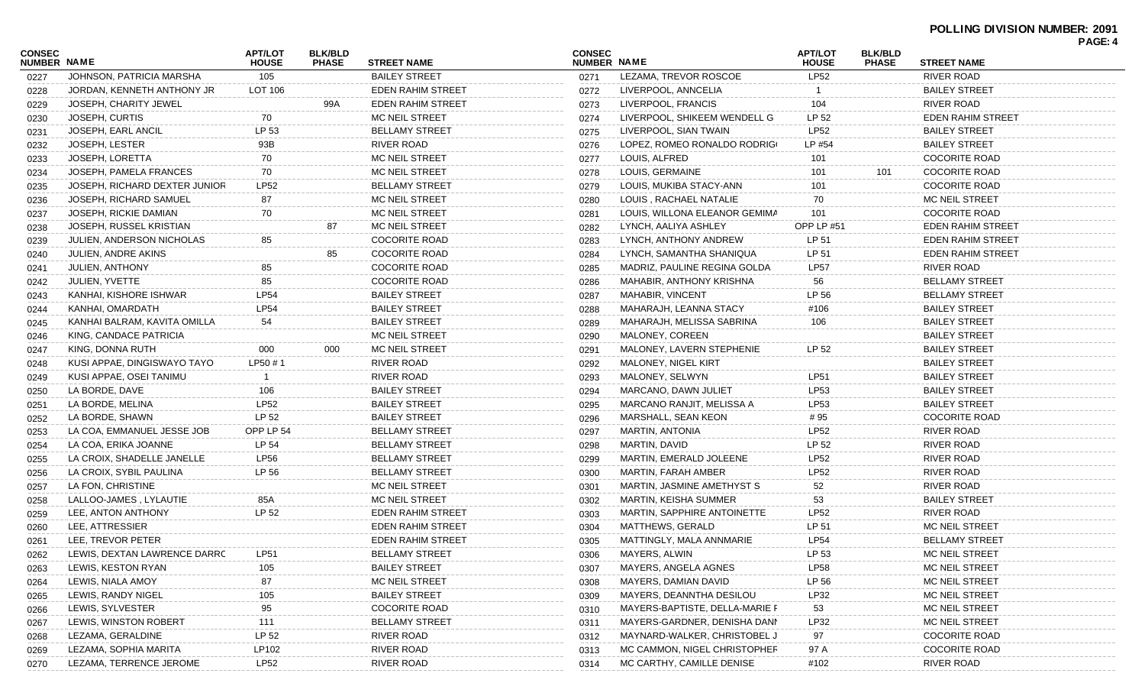| CONSEC<br><b>NUMBER NAME</b> |                               | <b>APT/LOT</b><br><b>HOUSE</b> | <b>BLK/BLD</b><br><b>PHASE</b> | <b>STREET NAME</b>       | <b>CONSEC</b><br>NUMBER NAME |                                | <b>APT/LOT</b><br><b>HOUSE</b> | <b>BLK/BLD</b><br><b>PHASE</b> | <b>STREET NAME</b>       | PAGE: 4 |
|------------------------------|-------------------------------|--------------------------------|--------------------------------|--------------------------|------------------------------|--------------------------------|--------------------------------|--------------------------------|--------------------------|---------|
| 0227                         | JOHNSON, PATRICIA MARSHA      | 105                            |                                | <b>BAILEY STREET</b>     | 0271                         | LEZAMA, TREVOR ROSCOE          | <b>LP52</b>                    |                                | <b>RIVER ROAD</b>        |         |
| 0228                         | JORDAN, KENNETH ANTHONY JR    | LOT 106                        |                                | <b>EDEN RAHIM STREET</b> | 0272                         | LIVERPOOL, ANNCELIA            |                                |                                | <b>BAILEY STREET</b>     |         |
| 0229                         | JOSEPH, CHARITY JEWEL         |                                | 99A                            | <b>EDEN RAHIM STREET</b> | 0273                         | LIVERPOOL, FRANCIS             | 104                            |                                | <b>RIVER ROAD</b>        |         |
| 0230                         | JOSEPH, CURTIS                | 70                             |                                | MC NEIL STREET           | 0274                         | LIVERPOOL, SHIKEEM WENDELL G   | LP 52                          |                                | <b>EDEN RAHIM STREET</b> |         |
| 0231                         | JOSEPH, EARL ANCIL            | LP 53                          |                                | <b>BELLAMY STREET</b>    | 0275                         | LIVERPOOL, SIAN TWAIN          | <b>LP52</b>                    |                                | <b>BAILEY STREET</b>     |         |
| 0232                         | JOSEPH, LESTER                | 93B                            |                                | <b>RIVER ROAD</b>        | 0276                         | LOPEZ, ROMEO RONALDO RODRIGO   | LP #54                         |                                | <b>BAILEY STREET</b>     |         |
| 0233                         | JOSEPH, LORETTA               | 70                             |                                | MC NEIL STREET           | 0277                         | LOUIS, ALFRED                  | 101                            |                                | <b>COCORITE ROAD</b>     |         |
| 0234                         | JOSEPH, PAMELA FRANCES        | 70                             |                                | MC NEIL STREET           | 0278                         | LOUIS, GERMAINE                | 101                            | 101                            | <b>COCORITE ROAD</b>     |         |
| 0235                         | JOSEPH, RICHARD DEXTER JUNIOR | <b>LP52</b>                    |                                | <b>BELLAMY STREET</b>    | 0279                         | LOUIS, MUKIBA STACY-ANN        | 101                            |                                | <b>COCORITE ROAD</b>     |         |
| 0236                         | JOSEPH, RICHARD SAMUEL        | 87                             |                                | MC NEIL STREET           | 0280                         | LOUIS, RACHAEL NATALIE         | 70                             |                                | MC NEIL STREET           |         |
| 0237                         | JOSEPH, RICKIE DAMIAN         | 70                             |                                | MC NEIL STREET           | 0281                         | LOUIS, WILLONA ELEANOR GEMIMA  | 101                            |                                | <b>COCORITE ROAD</b>     |         |
| 0238                         | JOSEPH, RUSSEL KRISTIAN       |                                | 87                             | MC NEIL STREET           | 0282                         | LYNCH, AALIYA ASHLEY           | OPP LP #51                     |                                | <b>EDEN RAHIM STREET</b> |         |
| 0239                         | JULIEN, ANDERSON NICHOLAS     | 85                             |                                | <b>COCORITE ROAD</b>     | 0283                         | LYNCH, ANTHONY ANDREW          | LP 51                          |                                | <b>EDEN RAHIM STREET</b> |         |
| 0240                         | <b>JULIEN, ANDRE AKINS</b>    |                                | 85                             | <b>COCORITE ROAD</b>     | 0284                         | LYNCH, SAMANTHA SHANIQUA       | LP 51                          |                                | <b>EDEN RAHIM STREET</b> |         |
| 0241                         | <b>JULIEN, ANTHONY</b>        | 85                             |                                | <b>COCORITE ROAD</b>     | 0285                         | MADRIZ, PAULINE REGINA GOLDA   | <b>LP57</b>                    |                                | <b>RIVER ROAD</b>        |         |
| 0242                         | <b>JULIEN, YVETTE</b>         | 85                             |                                | <b>COCORITE ROAD</b>     | 0286                         | MAHABIR, ANTHONY KRISHNA       | 56                             |                                | <b>BELLAMY STREET</b>    |         |
| 0243                         | KANHAI, KISHORE ISHWAR        | <b>LP54</b>                    |                                | <b>BAILEY STREET</b>     | 0287                         | MAHABIR, VINCENT               | LP 56                          |                                | <b>BELLAMY STREET</b>    |         |
| 0244                         | KANHAI, OMARDATH              | <b>LP54</b>                    |                                | <b>BAILEY STREET</b>     | 0288                         | MAHARAJH, LEANNA STACY         | #106                           |                                | <b>BAILEY STREET</b>     |         |
| 0245                         | KANHAI BALRAM, KAVITA OMILLA  | 54                             |                                | <b>BAILEY STREET</b>     | 0289                         | MAHARAJH, MELISSA SABRINA      | 106                            |                                | <b>BAILEY STREET</b>     |         |
| 0246                         | KING, CANDACE PATRICIA        |                                |                                | MC NEIL STREET           | 0290                         | MALONEY, COREEN                |                                |                                | <b>BAILEY STREET</b>     |         |
| 0247                         | KING, DONNA RUTH              | 000                            | 000                            | MC NEIL STREET           | 0291                         | MALONEY, LAVERN STEPHENIE      | LP 52                          |                                | <b>BAILEY STREET</b>     |         |
| 0248                         | KUSI APPAE, DINGISWAYO TAYO   | LP50#1                         |                                | <b>RIVER ROAD</b>        | 0292                         | MALONEY, NIGEL KIRT            |                                |                                | <b>BAILEY STREET</b>     |         |
| 0249                         | KUSI APPAE, OSEI TANIMU       |                                |                                | RIVER ROAD               | 0293                         | MALONEY, SELWYN                | <b>LP51</b>                    |                                | <b>BAILEY STREET</b>     |         |
| 0250                         | LA BORDE, DAVE                | 106                            |                                | <b>BAILEY STREET</b>     | 0294                         | MARCANO, DAWN JULIET           | LP53                           |                                | <b>BAILEY STREET</b>     |         |
| 0251                         | LA BORDE, MELINA              | <b>LP52</b>                    |                                | <b>BAILEY STREET</b>     | 0295                         | MARCANO RANJIT, MELISSA A      | LP53                           |                                | <b>BAILEY STREET</b>     |         |
| 0252                         | LA BORDE, SHAWN               | LP 52                          |                                | <b>BAILEY STREET</b>     | 0296                         | MARSHALL, SEAN KEON            | #95                            |                                | <b>COCORITE ROAD</b>     |         |
| 0253                         | LA COA, EMMANUEL JESSE JOB    | OPP LP 54                      |                                | <b>BELLAMY STREET</b>    | 0297                         | <b>MARTIN, ANTONIA</b>         | LP52                           |                                | <b>RIVER ROAD</b>        |         |
| 0254                         | LA COA, ERIKA JOANNE          | LP 54                          |                                | <b>BELLAMY STREET</b>    | 0298                         | MARTIN, DAVID                  | LP 52                          |                                | <b>RIVER ROAD</b>        |         |
| 0255                         | LA CROIX, SHADELLE JANELLE    | <b>LP56</b>                    |                                | <b>BELLAMY STREET</b>    | 0299                         | MARTIN, EMERALD JOLEENE        | LP52                           |                                | <b>RIVER ROAD</b>        |         |
| 0256                         | LA CROIX, SYBIL PAULINA       | LP 56                          |                                | <b>BELLAMY STREET</b>    | 0300                         | MARTIN, FARAH AMBER            | <b>LP52</b>                    |                                | <b>RIVER ROAD</b>        |         |
| 0257                         | LA FON, CHRISTINE             |                                |                                | MC NEIL STREET           | 0301                         | MARTIN, JASMINE AMETHYST S     | 52                             |                                | RIVER ROAD               |         |
| 0258                         | LALLOO-JAMES, LYLAUTIE        | 85A                            |                                | MC NEIL STREET           | 0302                         | MARTIN, KEISHA SUMMER          | 53                             |                                | <b>BAILEY STREET</b>     |         |
| 0259                         | LEE, ANTON ANTHONY            | LP 52                          |                                | <b>EDEN RAHIM STREET</b> | 0303                         | MARTIN, SAPPHIRE ANTOINETTE    | LP52                           |                                | <b>RIVER ROAD</b>        |         |
| 0260                         | LEE, ATTRESSIER               |                                |                                | <b>EDEN RAHIM STREET</b> | 0304                         | MATTHEWS, GERALD               | LP 51                          |                                | MC NEIL STREET           |         |
| 0261                         | LEE, TREVOR PETER             |                                |                                | <b>EDEN RAHIM STREET</b> | 0305                         | MATTINGLY, MALA ANNMARIE       | <b>LP54</b>                    |                                | <b>BELLAMY STREET</b>    |         |
| 0262                         | LEWIS, DEXTAN LAWRENCE DARRC  | <b>LP51</b>                    |                                | <b>BELLAMY STREET</b>    | 0306                         | MAYERS, ALWIN                  | LP 53                          |                                | MC NEIL STREET           |         |
| 0263                         | LEWIS, KESTON RYAN            | 105                            |                                | <b>BAILEY STREET</b>     | 0307                         | MAYERS, ANGELA AGNES           | <b>LP58</b>                    |                                | MC NEIL STREET           |         |
| 0264                         | LEWIS, NIALA AMOY             | 87                             |                                | MC NEIL STREET           | 0308                         | MAYERS, DAMIAN DAVID           | LP 56                          |                                | MC NEIL STREET           |         |
| 0265                         | LEWIS, RANDY NIGEL            | 105                            |                                | <b>BAILEY STREET</b>     | 0309                         | MAYERS, DEANNTHA DESILOU       | LP32                           |                                | MC NEIL STREET           |         |
| 0266                         | LEWIS, SYLVESTER              | 95                             |                                | <b>COCORITE ROAD</b>     | 0310                         | MAYERS-BAPTISTE, DELLA-MARIE F | 53                             |                                | MC NEIL STREET           |         |
| 0267                         | LEWIS, WINSTON ROBERT         | 111                            |                                | <b>BELLAMY STREET</b>    | 0311                         | MAYERS-GARDNER, DENISHA DANN   | LP32                           |                                | MC NEIL STREET           |         |
| 0268                         | LEZAMA, GERALDINE             | LP 52                          |                                | <b>RIVER ROAD</b>        | 0312                         | MAYNARD-WALKER, CHRISTOBEL J   | 97                             |                                | <b>COCORITE ROAD</b>     |         |
| 0269                         | LEZAMA, SOPHIA MARITA         | LP102                          |                                | RIVER ROAD               | 0313                         | MC CAMMON, NIGEL CHRISTOPHER   | 97 A                           |                                | <b>COCORITE ROAD</b>     |         |
| 0270                         | LEZAMA, TERRENCE JEROME       | <b>LP52</b>                    |                                | RIVER ROAD               | 0314                         | MC CARTHY, CAMILLE DENISE      | #102                           |                                | RIVER ROAD               |         |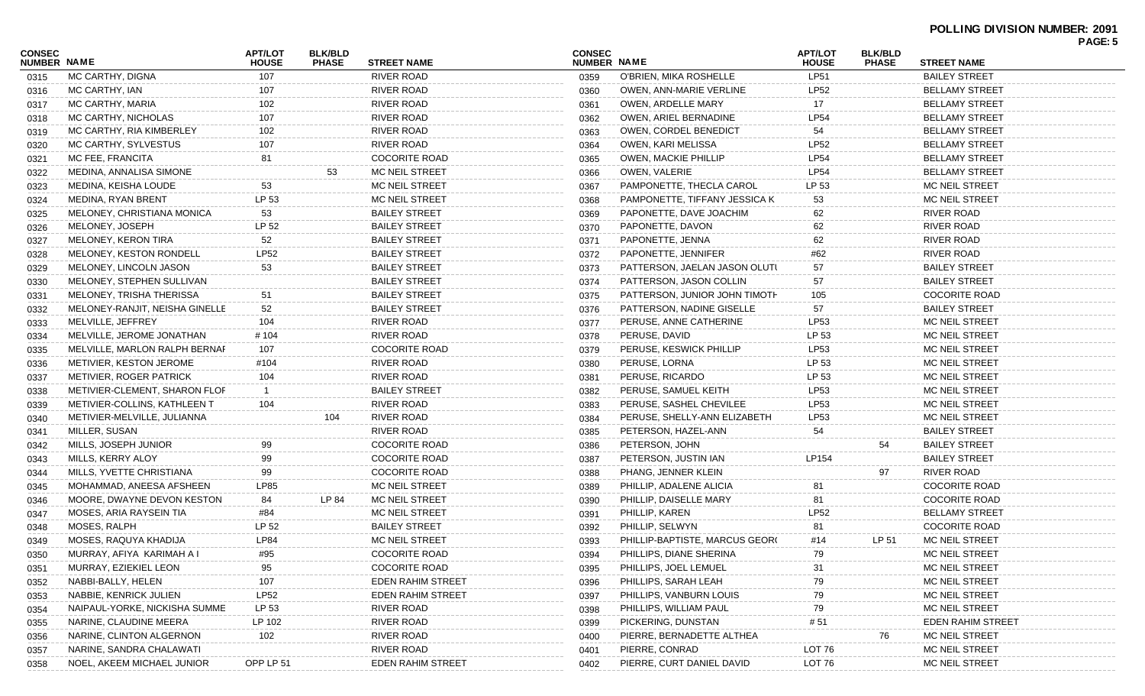|                              |                                |                                |                                |                          |                              |                                |                                |                                |                          | <b>PAGE: 5</b> |
|------------------------------|--------------------------------|--------------------------------|--------------------------------|--------------------------|------------------------------|--------------------------------|--------------------------------|--------------------------------|--------------------------|----------------|
| CONSEC<br><b>NUMBER NAME</b> |                                | <b>APT/LOT</b><br><b>HOUSE</b> | <b>BLK/BLD</b><br><b>PHASE</b> | <b>STREET NAME</b>       | <b>CONSEC</b><br>NUMBER NAME |                                | <b>APT/LOT</b><br><b>HOUSE</b> | <b>BLK/BLD</b><br><b>PHASE</b> | <b>STREET NAME</b>       |                |
| 0315                         | MC CARTHY, DIGNA               | 107                            |                                | <b>RIVER ROAD</b>        | 0359                         | O'BRIEN, MIKA ROSHELLE         | <b>LP51</b>                    |                                | <b>BAILEY STREET</b>     |                |
| 0316                         | MC CARTHY, IAN                 | 107                            |                                | <b>RIVER ROAD</b>        | 0360                         | OWEN, ANN-MARIE VERLINE        | LP52                           |                                | <b>BELLAMY STREET</b>    |                |
| 0317                         | MC CARTHY, MARIA               | 102                            |                                | <b>RIVER ROAD</b>        | 0361                         | OWEN, ARDELLE MARY             | 17                             |                                | <b>BELLAMY STREET</b>    |                |
| 0318                         | MC CARTHY, NICHOLAS            | 107                            |                                | <b>RIVER ROAD</b>        | 0362                         | OWEN, ARIEL BERNADINE          | LP54                           |                                | <b>BELLAMY STREET</b>    |                |
| 0319                         | MC CARTHY, RIA KIMBERLEY       | 102                            |                                | <b>RIVER ROAD</b>        | 0363                         | <b>OWEN, CORDEL BENEDICT</b>   | 54                             |                                | <b>BELLAMY STREET</b>    |                |
| 0320                         | MC CARTHY, SYLVESTUS           | 107                            |                                | RIVER ROAD               | 0364                         | OWEN, KARI MELISSA             | <b>LP52</b>                    |                                | <b>BELLAMY STREET</b>    |                |
| 0321                         | MC FEE, FRANCITA               | 81                             |                                | <b>COCORITE ROAD</b>     | 0365                         | <b>OWEN, MACKIE PHILLIP</b>    | <b>LP54</b>                    |                                | <b>BELLAMY STREET</b>    |                |
| 0322                         | MEDINA, ANNALISA SIMONE        |                                | 53                             | MC NEIL STREET           | 0366                         | OWEN, VALERIE                  | <b>LP54</b>                    |                                | <b>BELLAMY STREET</b>    |                |
| 0323                         | MEDINA, KEISHA LOUDE           | 53                             |                                | MC NEIL STREET           | 0367                         | PAMPONETTE, THECLA CAROL       | LP 53                          |                                | MC NEIL STREET           |                |
| 0324                         | <b>MEDINA, RYAN BRENT</b>      | LP 53                          |                                | MC NEIL STREET           | 0368                         | PAMPONETTE, TIFFANY JESSICA K  | 53                             |                                | MC NEIL STREET           |                |
| 0325                         | MELONEY, CHRISTIANA MONICA     | 53                             |                                | <b>BAILEY STREET</b>     | 0369                         | PAPONETTE, DAVE JOACHIM        | 62                             |                                | <b>RIVER ROAD</b>        |                |
| 0326                         | MELONEY, JOSEPH                | LP 52                          |                                | <b>BAILEY STREET</b>     | 0370                         | PAPONETTE, DAVON               | 62                             |                                | <b>RIVER ROAD</b>        |                |
| 0327                         | MELONEY, KERON TIRA            | 52                             |                                | <b>BAILEY STREET</b>     | 0371                         | PAPONETTE, JENNA               | 62                             |                                | <b>RIVER ROAD</b>        |                |
| 0328                         | MELONEY, KESTON RONDELL        | LP52                           |                                | <b>BAILEY STREET</b>     | 0372                         | PAPONETTE, JENNIFER            | #62                            |                                | RIVER ROAD               |                |
| 0329                         | MELONEY, LINCOLN JASON         | 53                             |                                | <b>BAILEY STREET</b>     | 0373                         | PATTERSON, JAELAN JASON OLUTI  | 57                             |                                | <b>BAILEY STREET</b>     |                |
| 0330                         | MELONEY, STEPHEN SULLIVAN      |                                |                                | <b>BAILEY STREET</b>     | 0374                         | PATTERSON, JASON COLLIN        | 57                             |                                | <b>BAILEY STREET</b>     |                |
| 0331                         | MELONEY, TRISHA THERISSA       | 51                             |                                | <b>BAILEY STREET</b>     | 0375                         | PATTERSON, JUNIOR JOHN TIMOTH  | 105                            |                                | <b>COCORITE ROAD</b>     |                |
| 0332                         | MELONEY-RANJIT, NEISHA GINELLE | 52                             |                                | <b>BAILEY STREET</b>     | 0376                         | PATTERSON, NADINE GISELLE      | 57                             |                                | <b>BAILEY STREET</b>     |                |
| 0333                         | MELVILLE, JEFFREY              | 104                            |                                | <b>RIVER ROAD</b>        | 0377                         | PERUSE, ANNE CATHERINE         | LP53                           |                                | MC NEIL STREET           |                |
| 0334                         | MELVILLE, JEROME JONATHAN      | #104                           |                                | RIVER ROAD               | 0378                         | PERUSE, DAVID                  | LP 53                          |                                | MC NEIL STREET           |                |
| 0335                         | MELVILLE, MARLON RALPH BERNAF  | 107                            |                                | <b>COCORITE ROAD</b>     | 0379                         | PERUSE, KESWICK PHILLIP        | <b>LP53</b>                    |                                | MC NEIL STREET           |                |
| 0336                         | METIVIER, KESTON JEROME        | #104                           |                                | <b>RIVER ROAD</b>        | 0380                         | PERUSE, LORNA                  | LP 53                          |                                | MC NEIL STREET           |                |
| 0337                         | <b>METIVIER, ROGER PATRICK</b> | 104                            |                                | RIVER ROAD               | 0381                         | PERUSE, RICARDO                | LP 53                          |                                | MC NEIL STREET           |                |
| 0338                         | METIVIER-CLEMENT, SHARON FLOF  |                                |                                | <b>BAILEY STREET</b>     | 0382                         | PERUSE, SAMUEL KEITH           | LP53                           |                                | MC NEIL STREET           |                |
| 0339                         | METIVIER-COLLINS, KATHLEEN T   | 104                            |                                | <b>RIVER ROAD</b>        | 0383                         | PERUSE, SASHEL CHEVILEE        | <b>LP53</b>                    |                                | MC NEIL STREET           |                |
| 0340                         | METIVIER-MELVILLE, JULIANNA    |                                | 104                            | <b>RIVER ROAD</b>        | 0384                         | PERUSE, SHELLY-ANN ELIZABETH   | LP53                           |                                | <b>MC NEIL STREET</b>    |                |
| 0341                         | MILLER, SUSAN                  |                                |                                | RIVER ROAD               | 0385                         | PETERSON, HAZEL-ANN            | 54                             |                                | <b>BAILEY STREET</b>     |                |
| 0342                         | MILLS, JOSEPH JUNIOR           | 99                             |                                | <b>COCORITE ROAD</b>     | 0386                         | PETERSON, JOHN                 |                                | 54                             | <b>BAILEY STREET</b>     |                |
| 0343                         | MILLS, KERRY ALOY              | 99                             |                                | <b>COCORITE ROAD</b>     | 0387                         | PETERSON, JUSTIN IAN           | LP154                          |                                | <b>BAILEY STREET</b>     |                |
| 0344                         | MILLS, YVETTE CHRISTIANA       | 99                             |                                | <b>COCORITE ROAD</b>     | 0388                         | PHANG, JENNER KLEIN            |                                | 97                             | RIVER ROAD               |                |
| 0345                         | MOHAMMAD, ANEESA AFSHEEN       | LP85                           |                                | MC NEIL STREET           | 0389                         | PHILLIP, ADALENE ALICIA        | 81                             |                                | <b>COCORITE ROAD</b>     |                |
| 0346                         | MOORE, DWAYNE DEVON KESTON     | 84                             | LP 84                          | MC NEIL STREET           | 0390                         | PHILLIP, DAISELLE MARY         | 81                             |                                | <b>COCORITE ROAD</b>     |                |
| 0347                         | MOSES, ARIA RAYSEIN TIA        | #84                            |                                | <b>MC NEIL STREET</b>    | 0391                         | PHILLIP, KAREN                 | <b>LP52</b>                    |                                | <b>BELLAMY STREET</b>    |                |
| 0348                         | MOSES, RALPH                   | LP 52                          |                                | <b>BAILEY STREET</b>     | 0392                         | PHILLIP, SELWYN                | 81                             |                                | <b>COCORITE ROAD</b>     |                |
| 0349                         | MOSES, RAQUYA KHADIJA          | LP84                           |                                | MC NEIL STREET           | 0393                         | PHILLIP-BAPTISTE, MARCUS GEOR( | #14                            | LP 51                          | MC NEIL STREET           |                |
| 0350                         | MURRAY, AFIYA KARIMAH A I      | #95                            |                                | <b>COCORITE ROAD</b>     | 0394                         | PHILLIPS, DIANE SHERINA        | 79                             |                                | MC NEIL STREET           |                |
| 0351                         | MURRAY, EZIEKIEL LEON          | 95                             |                                | <b>COCORITE ROAD</b>     | 0395                         | PHILLIPS, JOEL LEMUEL          | 31                             |                                | MC NEIL STREET           |                |
| 0352                         | NABBI-BALLY, HELEN             | 107                            |                                | <b>EDEN RAHIM STREET</b> | 0396                         | PHILLIPS, SARAH LEAH           | 79                             |                                | MC NEIL STREET           |                |
| 0353                         | <b>NABBIE, KENRICK JULIEN</b>  | <b>LP52</b>                    |                                | <b>EDEN RAHIM STREET</b> | 0397                         | PHILLIPS, VANBURN LOUIS        | 79                             |                                | MC NEIL STREET           |                |
| 0354                         | NAIPAUL-YORKE, NICKISHA SUMME  | LP 53                          |                                | <b>RIVER ROAD</b>        | 0398                         | PHILLIPS, WILLIAM PAUL         | 79                             |                                | MC NEIL STREET           |                |
| 0355                         | NARINE, CLAUDINE MEERA         | LP 102                         |                                | <b>RIVER ROAD</b>        | 0399                         | PICKERING, DUNSTAN             | # 51                           |                                | <b>EDEN RAHIM STREET</b> |                |
| 0356                         | NARINE, CLINTON ALGERNON       | 102                            |                                | <b>RIVER ROAD</b>        | 0400                         | PIERRE, BERNADETTE ALTHEA      |                                | 76                             | MC NEIL STREET           |                |
| 0357                         | NARINE, SANDRA CHALAWATI       |                                |                                | RIVER ROAD               | 0401                         | PIERRE, CONRAD                 | LOT 76                         |                                | MC NEIL STREET           |                |
| 0358                         | NOEL, AKEEM MICHAEL JUNIOR     | OPP LP 51                      |                                | <b>EDEN RAHIM STREET</b> | 0402                         | PIERRE, CURT DANIEL DAVID      | LOT <sub>76</sub>              |                                | MC NEIL STREET           |                |
|                              |                                |                                |                                |                          |                              |                                |                                |                                |                          |                |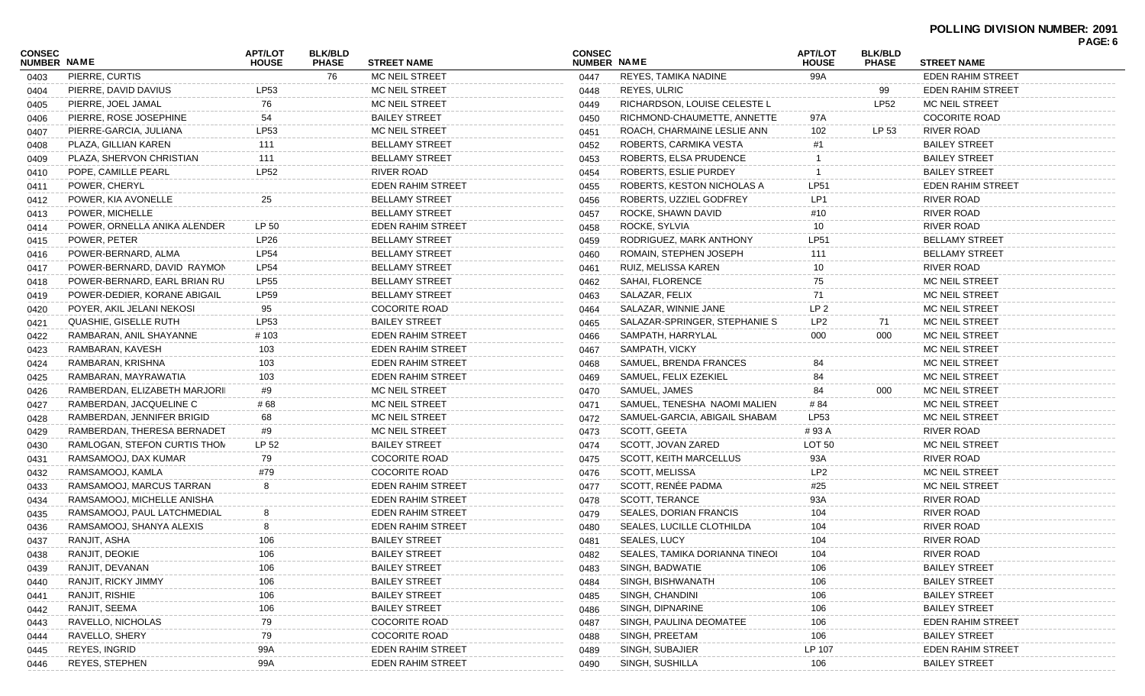| CONSEC<br><b>NUMBER NAME</b> |                               | <b>APT/LOT</b><br><b>HOUSE</b> | <b>BLK/BLD</b><br><b>PHASE</b> | <b>STREET NAME</b>       | <b>CONSEC</b><br>NUMBER NAME |                                | <b>APT/LOT</b><br><b>HOUSE</b> | <b>BLK/BLD</b><br><b>PHASE</b> | <b>STREET NAME</b>       | PAGE: 6 |
|------------------------------|-------------------------------|--------------------------------|--------------------------------|--------------------------|------------------------------|--------------------------------|--------------------------------|--------------------------------|--------------------------|---------|
| 0403                         | PIERRE, CURTIS                |                                | 76                             | MC NEIL STREET           | 0447                         | REYES, TAMIKA NADINE           | 99A                            |                                | <b>EDEN RAHIM STREET</b> |         |
| 0404                         | PIERRE, DAVID DAVIUS          | LP53                           |                                | MC NEIL STREET           | 0448                         | <b>REYES, ULRIC</b>            |                                | 99                             | <b>EDEN RAHIM STREET</b> |         |
| 0405                         | PIERRE, JOEL JAMAL            | 76                             |                                | MC NEIL STREET           | 0449                         | RICHARDSON, LOUISE CELESTE L   |                                | <b>LP52</b>                    | <b>MC NEIL STREET</b>    |         |
| 0406                         | PIERRE, ROSE JOSEPHINE        | 54                             |                                | <b>BAILEY STREET</b>     | 0450                         | RICHMOND-CHAUMETTE, ANNETTE    | 97A                            |                                | <b>COCORITE ROAD</b>     |         |
| 0407                         | PIERRE-GARCIA, JULIANA        | LP53                           |                                | MC NEIL STREET           | 0451                         | ROACH, CHARMAINE LESLIE ANN    | 102                            | LP 53                          | RIVER ROAD               |         |
| 0408                         | PLAZA, GILLIAN KAREN          | 111                            |                                | <b>BELLAMY STREET</b>    | 0452                         | ROBERTS, CARMIKA VESTA         | #1                             |                                | <b>BAILEY STREET</b>     |         |
| 0409                         | PLAZA, SHERVON CHRISTIAN      | 111                            |                                | <b>BELLAMY STREET</b>    | 0453                         | ROBERTS, ELSA PRUDENCE         |                                |                                | <b>BAILEY STREET</b>     |         |
| 0410                         | POPE, CAMILLE PEARL           | <b>LP52</b>                    |                                | <b>RIVER ROAD</b>        | 0454                         | ROBERTS, ESLIE PURDEY          |                                |                                | <b>BAILEY STREET</b>     |         |
| 0411                         | POWER, CHERYL                 |                                |                                | <b>EDEN RAHIM STREET</b> | 0455                         | ROBERTS, KESTON NICHOLAS A     | <b>LP51</b>                    |                                | <b>EDEN RAHIM STREET</b> |         |
| 0412                         | POWER, KIA AVONELLE           | 25                             |                                | <b>BELLAMY STREET</b>    | 0456                         | ROBERTS, UZZIEL GODFREY        | LP <sub>1</sub>                |                                | RIVER ROAD               |         |
| 0413                         | POWER, MICHELLE               |                                |                                | <b>BELLAMY STREET</b>    | 0457                         | ROCKE, SHAWN DAVID             | #10                            |                                | RIVER ROAD               |         |
| 0414                         | POWER, ORNELLA ANIKA ALENDER  | LP 50                          |                                | <b>EDEN RAHIM STREET</b> | 0458                         | ROCKE, SYLVIA                  | 10                             |                                | RIVER ROAD               |         |
| 0415                         | POWER, PETER                  | <b>LP26</b>                    |                                | <b>BELLAMY STREET</b>    | 0459                         | RODRIGUEZ, MARK ANTHONY        | <b>LP51</b>                    |                                | <b>BELLAMY STREET</b>    |         |
| 0416                         | POWER-BERNARD, ALMA           | <b>LP54</b>                    |                                | <b>BELLAMY STREET</b>    | 0460                         | ROMAIN, STEPHEN JOSEPH         | 111                            |                                | <b>BELLAMY STREET</b>    |         |
| 0417                         | POWER-BERNARD, DAVID RAYMON   | <b>LP54</b>                    |                                | <b>BELLAMY STREET</b>    | 0461                         | RUIZ, MELISSA KAREN            | 10                             |                                | <b>RIVER ROAD</b>        |         |
| 0418                         | POWER-BERNARD, EARL BRIAN RU  | <b>LP55</b>                    |                                | <b>BELLAMY STREET</b>    | 0462                         | SAHAI, FLORENCE                | 75                             |                                | <b>MC NEIL STREET</b>    |         |
| 0419                         | POWER-DEDIER, KORANE ABIGAIL  | <b>LP59</b>                    |                                | <b>BELLAMY STREET</b>    | 0463                         | SALAZAR, FELIX                 | 71                             |                                | <b>MC NEIL STREET</b>    |         |
| 0420                         | POYER, AKIL JELANI NEKOSI     | 95                             |                                | <b>COCORITE ROAD</b>     | 0464                         | SALAZAR, WINNIE JANE           | LP <sub>2</sub>                |                                | <b>MC NEIL STREET</b>    |         |
| 0421                         | QUASHIE, GISELLE RUTH         | <b>LP53</b>                    |                                | <b>BAILEY STREET</b>     | 0465                         | SALAZAR-SPRINGER, STEPHANIE S  | LP <sub>2</sub>                | 71                             | <b>MC NEIL STREET</b>    |         |
| 0422                         | RAMBARAN, ANIL SHAYANNE       | # 103                          |                                | <b>EDEN RAHIM STREET</b> | 0466                         | SAMPATH, HARRYLAL              | 000                            | 000                            | <b>MC NEIL STREET</b>    |         |
| 0423                         | RAMBARAN, KAVESH              | 103                            |                                | <b>EDEN RAHIM STREET</b> | 0467                         | SAMPATH, VICKY                 |                                |                                | <b>MC NEIL STREET</b>    |         |
| 0424                         | RAMBARAN, KRISHNA             | 103                            |                                | <b>EDEN RAHIM STREET</b> | 0468                         | SAMUEL, BRENDA FRANCES         | 84                             |                                | <b>MC NEIL STREET</b>    |         |
| 0425                         | RAMBARAN, MAYRAWATIA          | 103                            |                                | <b>EDEN RAHIM STREET</b> | 0469                         | SAMUEL, FELIX EZEKIEL          | 84                             |                                | <b>MC NEIL STREET</b>    |         |
| 0426                         | RAMBERDAN, ELIZABETH MARJORII | #9                             |                                | MC NEIL STREET           | 0470                         | SAMUEL, JAMES                  | 84                             | 000                            | <b>MC NEIL STREET</b>    |         |
| 0427                         | RAMBERDAN, JACQUELINE C       | #68                            |                                | MC NEIL STREET           | 0471                         | SAMUEL, TENESHA NAOMI MALIEN   | # 84                           |                                | <b>MC NEIL STREET</b>    |         |
| 0428                         | RAMBERDAN, JENNIFER BRIGID    | 68                             |                                | MC NEIL STREET           | 0472                         | SAMUEL-GARCIA, ABIGAIL SHABAM. | LP53                           |                                | <b>MC NEIL STREET</b>    |         |
| 0429                         | RAMBERDAN, THERESA BERNADET   | #9                             |                                | MC NEIL STREET           | 0473                         | SCOTT, GEETA                   | #93 A                          |                                | RIVER ROAD               |         |
| 0430                         | RAMLOGAN, STEFON CURTIS THOM  | LP 52                          |                                | <b>BAILEY STREET</b>     | 0474                         | SCOTT, JOVAN ZARED             | LOT <sub>50</sub>              |                                | <b>MC NEIL STREET</b>    |         |
| 0431                         | RAMSAMOOJ, DAX KUMAR          | 79                             |                                | <b>COCORITE ROAD</b>     | 0475                         | <b>SCOTT, KEITH MARCELLUS</b>  | 93A                            |                                | RIVER ROAD               |         |
| 0432                         | RAMSAMOOJ, KAMLA              | #79                            |                                | <b>COCORITE ROAD</b>     | 0476                         | <b>SCOTT, MELISSA</b>          | LP <sub>2</sub>                |                                | <b>MC NEIL STREET</b>    |         |
| 0433                         | RAMSAMOOJ, MARCUS TARRAN      | 8                              |                                | <b>EDEN RAHIM STREET</b> | 0477                         | SCOTT, RENÉE PADMA             | #25                            |                                | <b>MC NEIL STREET</b>    |         |
| 0434                         | RAMSAMOOJ, MICHELLE ANISHA    |                                |                                | <b>EDEN RAHIM STREET</b> | 0478                         | SCOTT, TERANCE                 | 93A                            |                                | RIVER ROAD               |         |
| 0435                         | RAMSAMOOJ, PAUL LATCHMEDIAL   | 8                              |                                | <b>EDEN RAHIM STREET</b> | 0479                         | <b>SEALES, DORIAN FRANCIS</b>  | 104                            |                                | RIVER ROAD               |         |
| 0436                         | RAMSAMOOJ, SHANYA ALEXIS      | 8                              |                                | <b>EDEN RAHIM STREET</b> | 0480                         | SEALES, LUCILLE CLOTHILDA      | 104                            |                                | <b>RIVER ROAD</b>        |         |
| 0437                         | RANJIT, ASHA                  | 106                            |                                | <b>BAILEY STREET</b>     | 0481                         | SEALES, LUCY                   | 104                            |                                | <b>RIVER ROAD</b>        |         |
| 0438                         | RANJIT, DEOKIE                | 106                            |                                | <b>BAILEY STREET</b>     | 0482                         | SEALES, TAMIKA DORIANNA TINEOI | 104                            |                                | RIVER ROAD               |         |
| 0439                         | RANJIT, DEVANAN               | 106                            |                                | <b>BAILEY STREET</b>     | 0483                         | SINGH, BADWATIE                | 106                            |                                | <b>BAILEY STREET</b>     |         |
| 0440                         | RANJIT, RICKY JIMMY           | 106                            |                                | <b>BAILEY STREET</b>     | 0484                         | SINGH, BISHWANATH              | 106                            |                                | <b>BAILEY STREET</b>     |         |
| 0441                         | RANJIT, RISHIE                | 106                            |                                | <b>BAILEY STREET</b>     | 0485                         | SINGH, CHANDINI                | 106                            |                                | <b>BAILEY STREET</b>     |         |
| 0442                         | RANJIT, SEEMA                 | 106                            |                                | <b>BAILEY STREET</b>     | 0486                         | SINGH, DIPNARINE               | 106                            |                                | <b>BAILEY STREET</b>     |         |
| 0443                         | RAVELLO, NICHOLAS             | 79                             |                                | <b>COCORITE ROAD</b>     | 0487                         | SINGH, PAULINA DEOMATEE        | 106                            |                                | <b>EDEN RAHIM STREET</b> |         |
| 0444                         | RAVELLO, SHERY                | 79                             |                                | <b>COCORITE ROAD</b>     | 0488                         | SINGH, PREETAM                 | 106                            |                                | <b>BAILEY STREET</b>     |         |
| 0445                         | REYES, INGRID                 | 99A                            |                                | <b>EDEN RAHIM STREET</b> | 0489                         | SINGH, SUBAJIER                | LP 107                         |                                | <b>EDEN RAHIM STREET</b> |         |
| 0446                         | REYES, STEPHEN                | 99A                            |                                | <b>EDEN RAHIM STREET</b> | 0490                         | SINGH, SUSHILLA                | 106                            |                                | <b>BAILEY STREET</b>     |         |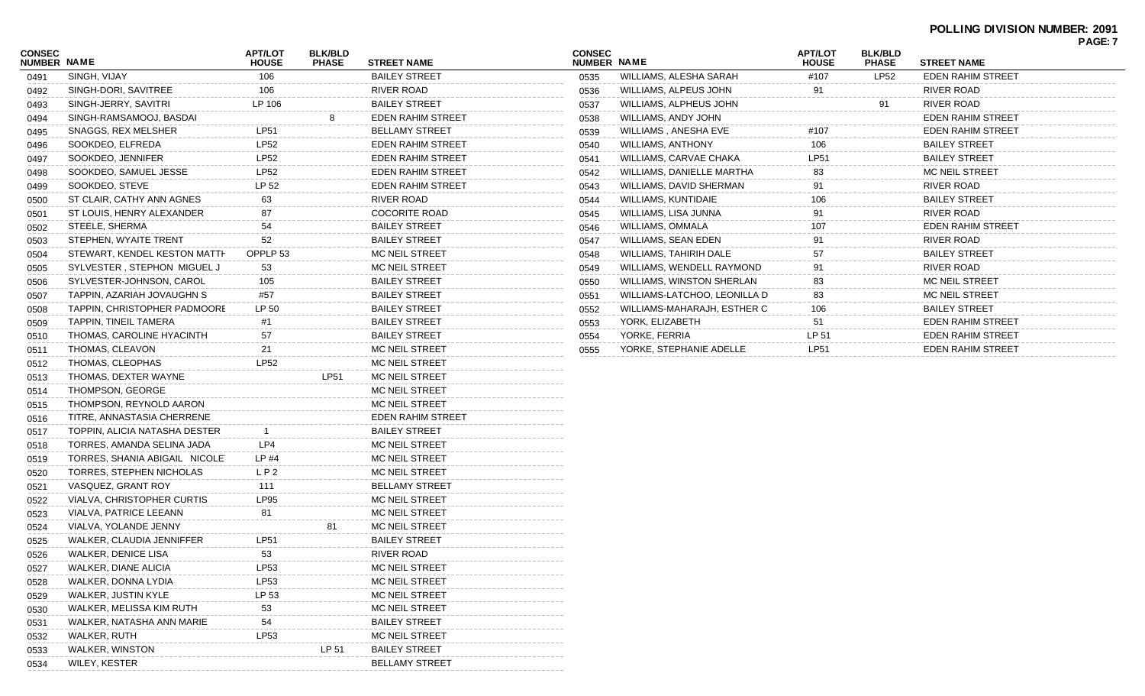| <b>CONSEC</b><br>NUMBER NAME |                               | <b>APT/LOT</b><br><b>HOUSE</b> | <b>BLK/BLD</b><br><b>PHASE</b> | <b>STREET NAME</b>       | <b>CONSEC</b><br>NUMBER NAME |                              | <b>APT/LOT</b><br><b>HOUSE</b> | <b>BLK/BLD</b><br><b>PHASE</b> | <b>STREET NAME</b>       |
|------------------------------|-------------------------------|--------------------------------|--------------------------------|--------------------------|------------------------------|------------------------------|--------------------------------|--------------------------------|--------------------------|
| 0491                         | SINGH, VIJAY                  | 106                            |                                | <b>BAILEY STREET</b>     | 0535                         | WILLIAMS, ALESHA SARAH       | #107                           | LP52                           | <b>EDEN RAHIM STREET</b> |
| 0492                         | SINGH-DORI, SAVITREE          | 106                            |                                | <b>RIVER ROAD</b>        | 0536                         | WILLIAMS, ALPEUS JOHN        | 91                             |                                | RIVER ROAD               |
| 0493                         | SINGH-JERRY, SAVITRI          | LP 106                         |                                | <b>BAILEY STREET</b>     | 0537                         | WILLIAMS, ALPHEUS JOHN       |                                | 91                             | <b>RIVER ROAD</b>        |
| 0494                         | SINGH-RAMSAMOOJ, BASDAI       |                                | 8                              | <b>EDEN RAHIM STREET</b> | 0538                         | WILLIAMS, ANDY JOHN          |                                |                                | <b>EDEN RAHIM STREET</b> |
| 0495                         | SNAGGS, REX MELSHER           | <b>LP51</b>                    |                                | <b>BELLAMY STREET</b>    | 0539                         | WILLIAMS, ANESHA EVE         | #107                           |                                | <b>EDEN RAHIM STREET</b> |
| 0496                         | SOOKDEO, ELFREDA              | <b>LP52</b>                    |                                | EDEN RAHIM STREET        | 0540                         | WILLIAMS, ANTHONY            | 106                            |                                | <b>BAILEY STREET</b>     |
| 0497                         | SOOKDEO, JENNIFER             | <b>LP52</b>                    |                                | <b>EDEN RAHIM STREET</b> | 0541                         | WILLIAMS, CARVAE CHAKA       | LP51                           |                                | <b>BAILEY STREET</b>     |
| 0498                         | SOOKDEO, SAMUEL JESSE         | <b>LP52</b>                    |                                | <b>EDEN RAHIM STREET</b> | 0542                         | WILLIAMS, DANIELLE MARTHA    | 83                             |                                | MC NEIL STREET           |
| 0499                         | SOOKDEO, STEVE                | LP 52                          |                                | <b>EDEN RAHIM STREET</b> | 0543                         | WILLIAMS, DAVID SHERMAN      | 91                             |                                | <b>RIVER ROAD</b>        |
| 0500                         | ST CLAIR, CATHY ANN AGNES     | 63                             |                                | <b>RIVER ROAD</b>        | 0544                         | WILLIAMS, KUNTIDAIE          | 106                            |                                | <b>BAILEY STREET</b>     |
| 0501                         | ST LOUIS, HENRY ALEXANDER     | 87                             |                                | <b>COCORITE ROAD</b>     | 0545                         | WILLIAMS, LISA JUNNA         | 91                             |                                | <b>RIVER ROAD</b>        |
| 0502                         | STEELE, SHERMA                | 54                             |                                | <b>BAILEY STREET</b>     | 0546                         | WILLIAMS, OMMALA             | 107                            |                                | <b>EDEN RAHIM STREET</b> |
| 0503                         | STEPHEN, WYAITE TRENT         | 52                             |                                | <b>BAILEY STREET</b>     | 0547                         | WILLIAMS, SEAN EDEN          | 91                             |                                | RIVER ROAD               |
| 0504                         | STEWART, KENDEL KESTON MATTH  | OPPLP 53                       |                                | <b>MC NEIL STREET</b>    | 0548                         | WILLIAMS, TAHIRIH DALE       | 57                             |                                | <b>BAILEY STREET</b>     |
| 0505                         | SYLVESTER, STEPHON MIGUEL J   | 53                             |                                | <b>MC NEIL STREET</b>    | 0549                         | WILLIAMS, WENDELL RAYMOND    | 91                             |                                | <b>RIVER ROAD</b>        |
| 0506                         | SYLVESTER-JOHNSON, CAROL      | 105                            |                                | <b>BAILEY STREET</b>     | 0550                         | WILLIAMS, WINSTON SHERLAN    | 83                             |                                | MC NEIL STREET           |
| 0507                         | TAPPIN, AZARIAH JOVAUGHN S    | #57                            |                                | <b>BAILEY STREET</b>     | 0551                         | WILLIAMS-LATCHOO, LEONILLA D | 83                             |                                | <b>MC NEIL STREET</b>    |
| 0508                         | TAPPIN, CHRISTOPHER PADMOORE  | LP 50                          |                                | <b>BAILEY STREET</b>     | 0552                         | WILLIAMS-MAHARAJH, ESTHER C  | 106                            |                                | <b>BAILEY STREET</b>     |
| 0509                         | TAPPIN, TINEIL TAMERA         | #1                             |                                | <b>BAILEY STREET</b>     | 0553                         | YORK, ELIZABETH              | 51                             |                                | EDEN RAHIM STREET        |
| 0510                         | THOMAS, CAROLINE HYACINTH     | 57                             |                                | <b>BAILEY STREET</b>     | 0554                         | YORKE, FERRIA                | LP 51                          |                                | EDEN RAHIM STREET        |
| 0511                         | THOMAS, CLEAVON               | 21                             |                                | <b>MC NEIL STREET</b>    | 0555                         | YORKE, STEPHANIE ADELLE      | LP51                           |                                | <b>EDEN RAHIM STREET</b> |
| 0512                         | THOMAS, CLEOPHAS              | <b>LP52</b>                    |                                | <b>MC NEIL STREET</b>    |                              |                              |                                |                                |                          |
| 0513                         | THOMAS, DEXTER WAYNE          |                                | <b>LP51</b>                    | <b>MC NEIL STREET</b>    |                              |                              |                                |                                |                          |
| 0514                         | THOMPSON, GEORGE              |                                |                                | <b>MC NEIL STREET</b>    |                              |                              |                                |                                |                          |
| 0515                         | THOMPSON, REYNOLD AARON       |                                |                                | <b>MC NEIL STREET</b>    |                              |                              |                                |                                |                          |
| 0516                         | TITRE, ANNASTASIA CHERRENE    |                                |                                | EDEN RAHIM STREET        |                              |                              |                                |                                |                          |
| 0517                         | TOPPIN, ALICIA NATASHA DESTER |                                |                                | <b>BAILEY STREET</b>     |                              |                              |                                |                                |                          |
| 0518                         | TORRES, AMANDA SELINA JADA    | LP4                            |                                | <b>MC NEIL STREET</b>    |                              |                              |                                |                                |                          |
| 0519                         | TORRES, SHANIA ABIGAIL NICOLE | $LP$ #4                        |                                | <b>MC NEIL STREET</b>    |                              |                              |                                |                                |                          |
| 0520                         | TORRES, STEPHEN NICHOLAS      | LP <sub>2</sub>                |                                | <b>MC NEIL STREET</b>    |                              |                              |                                |                                |                          |
| 0521                         | VASQUEZ, GRANT ROY            | 111                            |                                | <b>BELLAMY STREET</b>    |                              |                              |                                |                                |                          |
| 0522                         | VIALVA, CHRISTOPHER CURTIS    | <b>LP95</b>                    |                                | <b>MC NEIL STREET</b>    |                              |                              |                                |                                |                          |
| 0523                         | VIALVA, PATRICE LEEANN        | 81                             |                                | <b>MC NEIL STREET</b>    |                              |                              |                                |                                |                          |
| 0524                         | VIALVA, YOLANDE JENNY         |                                | 81                             | MC NEIL STREET           |                              |                              |                                |                                |                          |
| 0525                         | WALKER, CLAUDIA JENNIFFER     | <b>LP51</b>                    |                                | <b>BAILEY STREET</b>     |                              |                              |                                |                                |                          |
| 0526                         | WALKER, DENICE LISA           | 53                             |                                | RIVER ROAD               |                              |                              |                                |                                |                          |
| 0527                         | WALKER, DIANE ALICIA          | LP53                           |                                | MC NEIL STREET           |                              |                              |                                |                                |                          |
| 0528                         | WALKER, DONNA LYDIA           | LP53                           |                                | MC NEIL STREET           |                              |                              |                                |                                |                          |
| 0529                         | WALKER, JUSTIN KYLE           | LP 53                          |                                | MC NEIL STREET           |                              |                              |                                |                                |                          |
| 0530                         | WALKER, MELISSA KIM RUTH      | 53                             |                                | MC NEIL STREET           |                              |                              |                                |                                |                          |
| 0531                         | WALKER, NATASHA ANN MARIE     | 54                             |                                | <b>BAILEY STREET</b>     |                              |                              |                                |                                |                          |
| 0532                         | WALKER, RUTH                  | LP53                           |                                | <b>MC NEIL STREET</b>    |                              |                              |                                |                                |                          |
| 0533                         | <b>WALKER, WINSTON</b>        |                                | LP 51                          | <b>BAILEY STREET</b>     |                              |                              |                                |                                |                          |
| 0534                         | <b>WILEY, KESTER</b>          |                                |                                | <b>BELLAMY STREET</b>    |                              |                              |                                |                                |                          |

----------------------